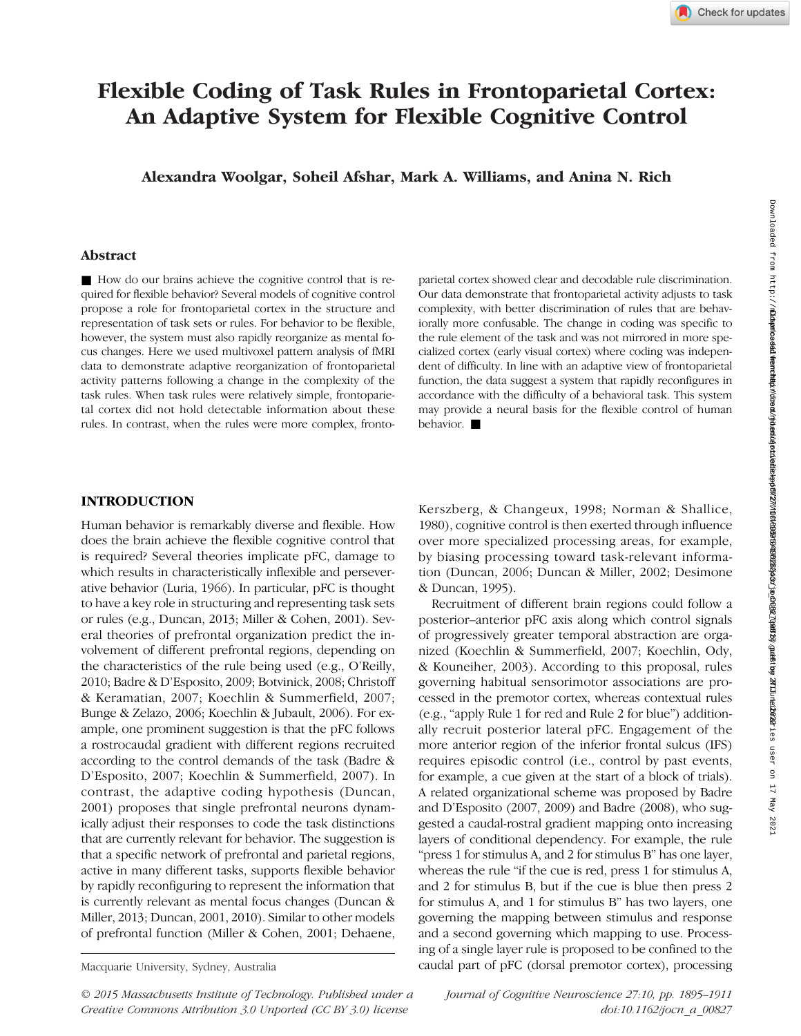# Flexible Coding of Task Rules in Frontoparietal Cortex: An Adaptive System for Flexible Cognitive Control

Alexandra Woolgar, Soheil Afshar, Mark A. Williams, and Anina N. Rich

# Downloaded from http://t<mark>Down</mark>do**addformthip/direa/nyiedu/ete**re<mark>apdf277/10/18566f940r/∌c0088{ασr/∌c0088f90r/∌c0088</mark>fation **2020** and the 2020 and the 2020 2021 2022 2021 Downloaded from http://mitprc.silverchair.com/jocn/article-pdf/27/10/1895/1783243/jocn\_a\_00827.pdf by MIT Libraries user on 17 May 2021 Downloaded from http://direct.mit.edu/jocn/article-pdf/27/10/1895/1949626/jocn\_a\_00827.pdf by guest on 27 June 2022

#### Abstract

■ How do our brains achieve the cognitive control that is required for flexible behavior? Several models of cognitive control propose a role for frontoparietal cortex in the structure and representation of task sets or rules. For behavior to be flexible, however, the system must also rapidly reorganize as mental focus changes. Here we used multivoxel pattern analysis of fMRI data to demonstrate adaptive reorganization of frontoparietal activity patterns following a change in the complexity of the task rules. When task rules were relatively simple, frontoparietal cortex did not hold detectable information about these rules. In contrast, when the rules were more complex, fronto-

parietal cortex showed clear and decodable rule discrimination. Our data demonstrate that frontoparietal activity adjusts to task complexity, with better discrimination of rules that are behaviorally more confusable. The change in coding was specific to the rule element of the task and was not mirrored in more specialized cortex (early visual cortex) where coding was independent of difficulty. In line with an adaptive view of frontoparietal function, the data suggest a system that rapidly reconfigures in accordance with the difficulty of a behavioral task. This system may provide a neural basis for the flexible control of human behavior.

# INTRODUCTION

Human behavior is remarkably diverse and flexible. How does the brain achieve the flexible cognitive control that is required? Several theories implicate pFC, damage to which results in characteristically inflexible and perseverative behavior (Luria, 1966). In particular, pFC is thought to have a key role in structuring and representing task sets or rules (e.g., Duncan, 2013; Miller & Cohen, 2001). Several theories of prefrontal organization predict the involvement of different prefrontal regions, depending on the characteristics of the rule being used (e.g., O'Reilly, 2010; Badre & D'Esposito, 2009; Botvinick, 2008; Christoff & Keramatian, 2007; Koechlin & Summerfield, 2007; Bunge & Zelazo, 2006; Koechlin & Jubault, 2006). For example, one prominent suggestion is that the pFC follows a rostrocaudal gradient with different regions recruited according to the control demands of the task (Badre & D'Esposito, 2007; Koechlin & Summerfield, 2007). In contrast, the adaptive coding hypothesis (Duncan, 2001) proposes that single prefrontal neurons dynamically adjust their responses to code the task distinctions that are currently relevant for behavior. The suggestion is that a specific network of prefrontal and parietal regions, active in many different tasks, supports flexible behavior by rapidly reconfiguring to represent the information that is currently relevant as mental focus changes (Duncan & Miller, 2013; Duncan, 2001, 2010). Similar to other models of prefrontal function (Miller & Cohen, 2001; Dehaene,

Kerszberg, & Changeux, 1998; Norman & Shallice, 1980), cognitive control is then exerted through influence over more specialized processing areas, for example, by biasing processing toward task-relevant information (Duncan, 2006; Duncan & Miller, 2002; Desimone & Duncan, 1995).

Recruitment of different brain regions could follow a posterior–anterior pFC axis along which control signals of progressively greater temporal abstraction are organized (Koechlin & Summerfield, 2007; Koechlin, Ody, & Kouneiher, 2003). According to this proposal, rules governing habitual sensorimotor associations are processed in the premotor cortex, whereas contextual rules (e.g., "apply Rule 1 for red and Rule 2 for blue") additionally recruit posterior lateral pFC. Engagement of the more anterior region of the inferior frontal sulcus (IFS) requires episodic control (i.e., control by past events, for example, a cue given at the start of a block of trials). A related organizational scheme was proposed by Badre and D'Esposito (2007, 2009) and Badre (2008), who suggested a caudal-rostral gradient mapping onto increasing layers of conditional dependency. For example, the rule "press 1 for stimulus A, and 2 for stimulus B" has one layer, whereas the rule "if the cue is red, press 1 for stimulus A, and 2 for stimulus B, but if the cue is blue then press 2 for stimulus A, and 1 for stimulus B" has two layers, one governing the mapping between stimulus and response and a second governing which mapping to use. Processing of a single layer rule is proposed to be confined to the Macquarie University, Sydney, Australia caudal part of pFC (dorsal premotor cortex), processing

© 2015 Massachusetts Institute of Technology. Published under a Creative Commons Attribution 3.0 Unported (CC BY 3.0) license

Journal of Cognitive Neuroscience 27:10, pp. 1895–1911 doi:10.1162/jocn\_a\_00827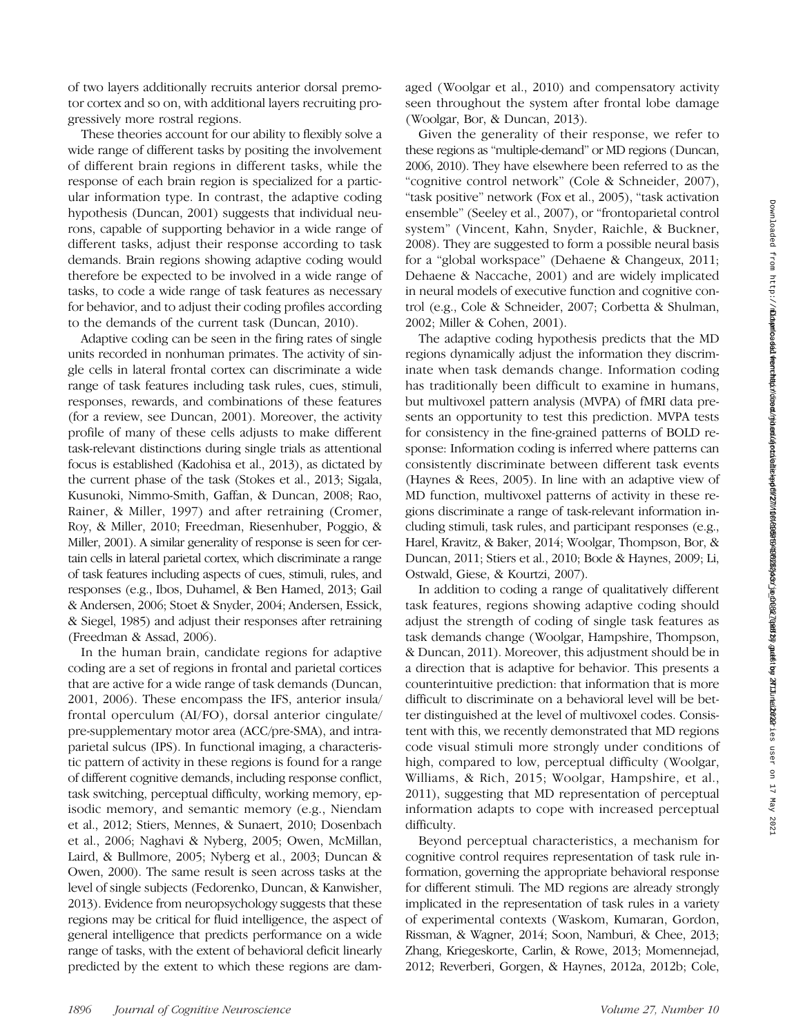of two layers additionally recruits anterior dorsal premotor cortex and so on, with additional layers recruiting progressively more rostral regions.

These theories account for our ability to flexibly solve a wide range of different tasks by positing the involvement of different brain regions in different tasks, while the response of each brain region is specialized for a particular information type. In contrast, the adaptive coding hypothesis (Duncan, 2001) suggests that individual neurons, capable of supporting behavior in a wide range of different tasks, adjust their response according to task demands. Brain regions showing adaptive coding would therefore be expected to be involved in a wide range of tasks, to code a wide range of task features as necessary for behavior, and to adjust their coding profiles according to the demands of the current task (Duncan, 2010).

Adaptive coding can be seen in the firing rates of single units recorded in nonhuman primates. The activity of single cells in lateral frontal cortex can discriminate a wide range of task features including task rules, cues, stimuli, responses, rewards, and combinations of these features (for a review, see Duncan, 2001). Moreover, the activity profile of many of these cells adjusts to make different task-relevant distinctions during single trials as attentional focus is established (Kadohisa et al., 2013), as dictated by the current phase of the task (Stokes et al., 2013; Sigala, Kusunoki, Nimmo-Smith, Gaffan, & Duncan, 2008; Rao, Rainer, & Miller, 1997) and after retraining (Cromer, Roy, & Miller, 2010; Freedman, Riesenhuber, Poggio, & Miller, 2001). A similar generality of response is seen for certain cells in lateral parietal cortex, which discriminate a range of task features including aspects of cues, stimuli, rules, and responses (e.g., Ibos, Duhamel, & Ben Hamed, 2013; Gail & Andersen, 2006; Stoet & Snyder, 2004; Andersen, Essick, & Siegel, 1985) and adjust their responses after retraining (Freedman & Assad, 2006).

In the human brain, candidate regions for adaptive coding are a set of regions in frontal and parietal cortices that are active for a wide range of task demands (Duncan, 2001, 2006). These encompass the IFS, anterior insula/ frontal operculum (AI/FO), dorsal anterior cingulate/ pre-supplementary motor area (ACC/pre-SMA), and intraparietal sulcus (IPS). In functional imaging, a characteristic pattern of activity in these regions is found for a range of different cognitive demands, including response conflict, task switching, perceptual difficulty, working memory, episodic memory, and semantic memory (e.g., Niendam et al., 2012; Stiers, Mennes, & Sunaert, 2010; Dosenbach et al., 2006; Naghavi & Nyberg, 2005; Owen, McMillan, Laird, & Bullmore, 2005; Nyberg et al., 2003; Duncan & Owen, 2000). The same result is seen across tasks at the level of single subjects (Fedorenko, Duncan, & Kanwisher, 2013). Evidence from neuropsychology suggests that these regions may be critical for fluid intelligence, the aspect of general intelligence that predicts performance on a wide range of tasks, with the extent of behavioral deficit linearly predicted by the extent to which these regions are damaged (Woolgar et al., 2010) and compensatory activity seen throughout the system after frontal lobe damage (Woolgar, Bor, & Duncan, 2013).

Given the generality of their response, we refer to these regions as "multiple-demand" or MD regions (Duncan, 2006, 2010). They have elsewhere been referred to as the "cognitive control network" (Cole & Schneider, 2007), "task positive" network (Fox et al., 2005), "task activation ensemble" (Seeley et al., 2007), or "frontoparietal control system" (Vincent, Kahn, Snyder, Raichle, & Buckner, 2008). They are suggested to form a possible neural basis for a "global workspace" (Dehaene & Changeux, 2011; Dehaene & Naccache, 2001) and are widely implicated in neural models of executive function and cognitive control (e.g., Cole & Schneider, 2007; Corbetta & Shulman, 2002; Miller & Cohen, 2001).

The adaptive coding hypothesis predicts that the MD regions dynamically adjust the information they discriminate when task demands change. Information coding has traditionally been difficult to examine in humans, but multivoxel pattern analysis (MVPA) of fMRI data presents an opportunity to test this prediction. MVPA tests for consistency in the fine-grained patterns of BOLD response: Information coding is inferred where patterns can consistently discriminate between different task events (Haynes & Rees, 2005). In line with an adaptive view of MD function, multivoxel patterns of activity in these regions discriminate a range of task-relevant information including stimuli, task rules, and participant responses (e.g., Harel, Kravitz, & Baker, 2014; Woolgar, Thompson, Bor, & Duncan, 2011; Stiers et al., 2010; Bode & Haynes, 2009; Li, Ostwald, Giese, & Kourtzi, 2007).

In addition to coding a range of qualitatively different task features, regions showing adaptive coding should adjust the strength of coding of single task features as task demands change (Woolgar, Hampshire, Thompson, & Duncan, 2011). Moreover, this adjustment should be in a direction that is adaptive for behavior. This presents a counterintuitive prediction: that information that is more difficult to discriminate on a behavioral level will be better distinguished at the level of multivoxel codes. Consistent with this, we recently demonstrated that MD regions code visual stimuli more strongly under conditions of high, compared to low, perceptual difficulty (Woolgar, Williams, & Rich, 2015; Woolgar, Hampshire, et al., 2011), suggesting that MD representation of perceptual information adapts to cope with increased perceptual difficulty.

Beyond perceptual characteristics, a mechanism for cognitive control requires representation of task rule information, governing the appropriate behavioral response for different stimuli. The MD regions are already strongly implicated in the representation of task rules in a variety of experimental contexts (Waskom, Kumaran, Gordon, Rissman, & Wagner, 2014; Soon, Namburi, & Chee, 2013; Zhang, Kriegeskorte, Carlin, & Rowe, 2013; Momennejad, 2012; Reverberi, Gorgen, & Haynes, 2012a, 2012b; Cole,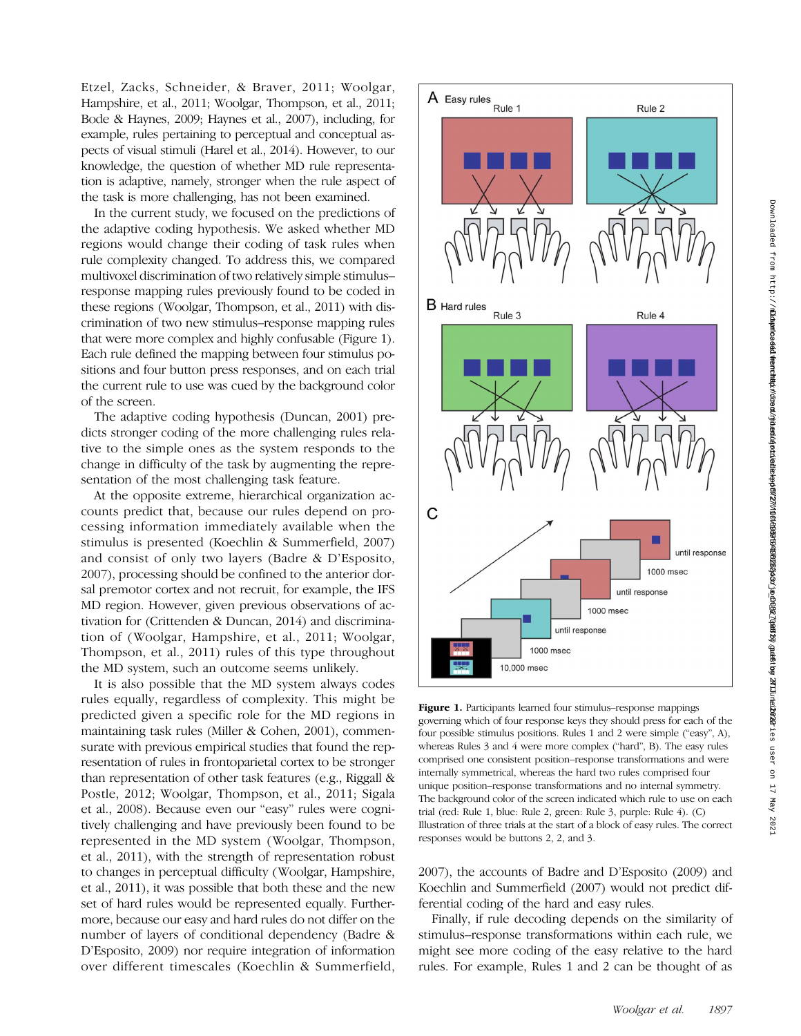Etzel, Zacks, Schneider, & Braver, 2011; Woolgar, Hampshire, et al., 2011; Woolgar, Thompson, et al., 2011; Bode & Haynes, 2009; Haynes et al., 2007), including, for example, rules pertaining to perceptual and conceptual aspects of visual stimuli (Harel et al., 2014). However, to our knowledge, the question of whether MD rule representation is adaptive, namely, stronger when the rule aspect of the task is more challenging, has not been examined.

In the current study, we focused on the predictions of the adaptive coding hypothesis. We asked whether MD regions would change their coding of task rules when rule complexity changed. To address this, we compared multivoxel discrimination of two relatively simple stimulus– response mapping rules previously found to be coded in these regions (Woolgar, Thompson, et al., 2011) with discrimination of two new stimulus–response mapping rules that were more complex and highly confusable (Figure 1). Each rule defined the mapping between four stimulus positions and four button press responses, and on each trial the current rule to use was cued by the background color of the screen.

The adaptive coding hypothesis (Duncan, 2001) predicts stronger coding of the more challenging rules relative to the simple ones as the system responds to the change in difficulty of the task by augmenting the representation of the most challenging task feature.

At the opposite extreme, hierarchical organization accounts predict that, because our rules depend on processing information immediately available when the stimulus is presented (Koechlin & Summerfield, 2007) and consist of only two layers (Badre & D'Esposito, 2007), processing should be confined to the anterior dorsal premotor cortex and not recruit, for example, the IFS MD region. However, given previous observations of activation for (Crittenden & Duncan, 2014) and discrimination of (Woolgar, Hampshire, et al., 2011; Woolgar, Thompson, et al., 2011) rules of this type throughout the MD system, such an outcome seems unlikely.

It is also possible that the MD system always codes rules equally, regardless of complexity. This might be predicted given a specific role for the MD regions in maintaining task rules (Miller & Cohen, 2001), commensurate with previous empirical studies that found the representation of rules in frontoparietal cortex to be stronger than representation of other task features (e.g., Riggall & Postle, 2012; Woolgar, Thompson, et al., 2011; Sigala et al., 2008). Because even our "easy" rules were cognitively challenging and have previously been found to be represented in the MD system (Woolgar, Thompson, et al., 2011), with the strength of representation robust to changes in perceptual difficulty (Woolgar, Hampshire, et al., 2011), it was possible that both these and the new set of hard rules would be represented equally. Furthermore, because our easy and hard rules do not differ on the number of layers of conditional dependency (Badre & D'Esposito, 2009) nor require integration of information over different timescales (Koechlin & Summerfield,



Figure 1. Participants learned four stimulus–response mappings governing which of four response keys they should press for each of the four possible stimulus positions. Rules 1 and 2 were simple ("easy", A), whereas Rules 3 and 4 were more complex ("hard", B). The easy rules comprised one consistent position–response transformations and were internally symmetrical, whereas the hard two rules comprised four unique position–response transformations and no internal symmetry. The background color of the screen indicated which rule to use on each trial (red: Rule 1, blue: Rule 2, green: Rule 3, purple: Rule 4). (C) Illustration of three trials at the start of a block of easy rules. The correct responses would be buttons 2, 2, and 3.

2007), the accounts of Badre and D'Esposito (2009) and Koechlin and Summerfield (2007) would not predict differential coding of the hard and easy rules.

Finally, if rule decoding depends on the similarity of stimulus–response transformations within each rule, we might see more coding of the easy relative to the hard rules. For example, Rules 1 and 2 can be thought of as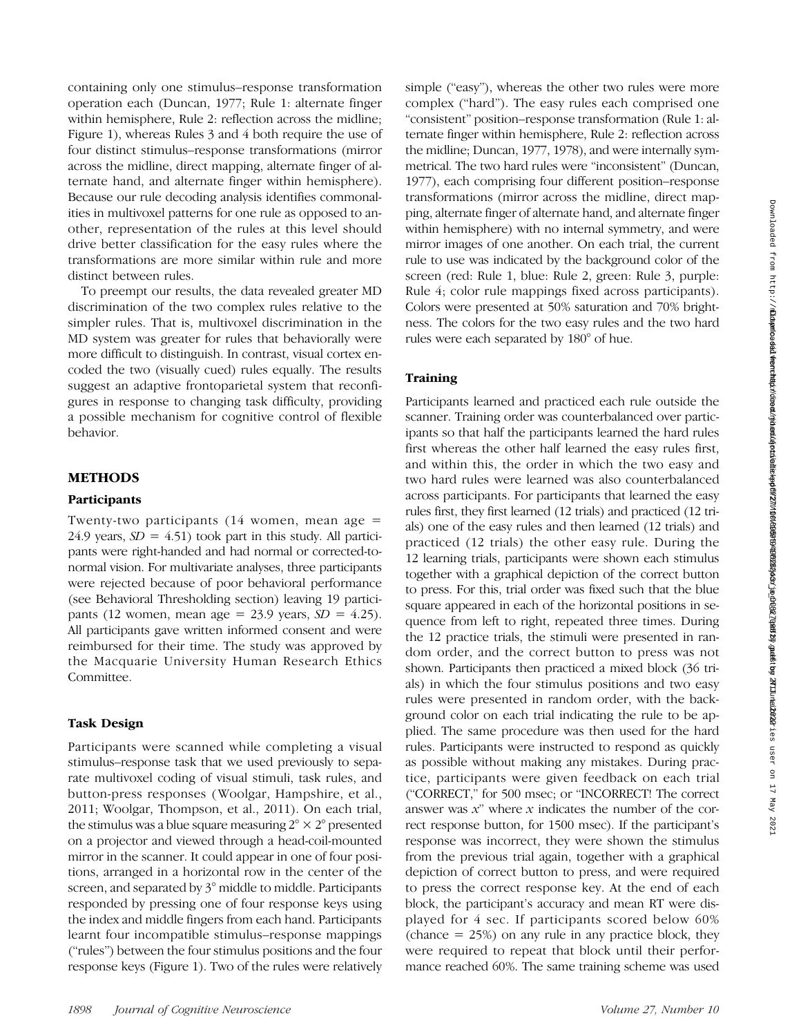containing only one stimulus–response transformation operation each (Duncan, 1977; Rule 1: alternate finger within hemisphere, Rule 2: reflection across the midline; Figure 1), whereas Rules 3 and 4 both require the use of four distinct stimulus–response transformations (mirror across the midline, direct mapping, alternate finger of alternate hand, and alternate finger within hemisphere). Because our rule decoding analysis identifies commonalities in multivoxel patterns for one rule as opposed to another, representation of the rules at this level should drive better classification for the easy rules where the transformations are more similar within rule and more distinct between rules.

To preempt our results, the data revealed greater MD discrimination of the two complex rules relative to the simpler rules. That is, multivoxel discrimination in the MD system was greater for rules that behaviorally were more difficult to distinguish. In contrast, visual cortex encoded the two (visually cued) rules equally. The results suggest an adaptive frontoparietal system that reconfigures in response to changing task difficulty, providing a possible mechanism for cognitive control of flexible behavior.

# METHODS

#### **Participants**

Twenty-two participants  $(14 \text{ women}, \text{mean age} =$ 24.9 years,  $SD = 4.51$ ) took part in this study. All participants were right-handed and had normal or corrected-tonormal vision. For multivariate analyses, three participants were rejected because of poor behavioral performance (see Behavioral Thresholding section) leaving 19 participants (12 women, mean age = 23.9 years,  $SD = 4.25$ ). All participants gave written informed consent and were reimbursed for their time. The study was approved by the Macquarie University Human Research Ethics Committee.

# Task Design

Participants were scanned while completing a visual stimulus–response task that we used previously to separate multivoxel coding of visual stimuli, task rules, and button-press responses (Woolgar, Hampshire, et al., 2011; Woolgar, Thompson, et al., 2011). On each trial, the stimulus was a blue square measuring  $2^{\circ} \times 2^{\circ}$  presented on a projector and viewed through a head-coil-mounted mirror in the scanner. It could appear in one of four positions, arranged in a horizontal row in the center of the screen, and separated by 3° middle to middle. Participants responded by pressing one of four response keys using the index and middle fingers from each hand. Participants learnt four incompatible stimulus–response mappings ("rules") between the four stimulus positions and the four response keys (Figure 1). Two of the rules were relatively

simple ("easy"), whereas the other two rules were more complex ("hard"). The easy rules each comprised one "consistent" position–response transformation (Rule 1: alternate finger within hemisphere, Rule 2: reflection across the midline; Duncan, 1977, 1978), and were internally symmetrical. The two hard rules were "inconsistent" (Duncan, 1977), each comprising four different position–response transformations (mirror across the midline, direct mapping, alternate finger of alternate hand, and alternate finger within hemisphere) with no internal symmetry, and were mirror images of one another. On each trial, the current rule to use was indicated by the background color of the screen (red: Rule 1, blue: Rule 2, green: Rule 3, purple: Rule 4; color rule mappings fixed across participants). Colors were presented at 50% saturation and 70% brightness. The colors for the two easy rules and the two hard rules were each separated by 180° of hue.

# **Training**

Participants learned and practiced each rule outside the scanner. Training order was counterbalanced over participants so that half the participants learned the hard rules first whereas the other half learned the easy rules first, and within this, the order in which the two easy and two hard rules were learned was also counterbalanced across participants. For participants that learned the easy rules first, they first learned (12 trials) and practiced (12 trials) one of the easy rules and then learned (12 trials) and practiced (12 trials) the other easy rule. During the 12 learning trials, participants were shown each stimulus together with a graphical depiction of the correct button to press. For this, trial order was fixed such that the blue square appeared in each of the horizontal positions in sequence from left to right, repeated three times. During the 12 practice trials, the stimuli were presented in random order, and the correct button to press was not shown. Participants then practiced a mixed block (36 trials) in which the four stimulus positions and two easy rules were presented in random order, with the background color on each trial indicating the rule to be applied. The same procedure was then used for the hard rules. Participants were instructed to respond as quickly as possible without making any mistakes. During practice, participants were given feedback on each trial ("CORRECT," for 500 msec; or "INCORRECT! The correct answer was  $x$ " where  $x$  indicates the number of the correct response button, for 1500 msec). If the participant's response was incorrect, they were shown the stimulus from the previous trial again, together with a graphical depiction of correct button to press, and were required to press the correct response key. At the end of each block, the participant's accuracy and mean RT were displayed for 4 sec. If participants scored below 60% (chance  $= 25\%$ ) on any rule in any practice block, they were required to repeat that block until their performance reached 60%. The same training scheme was used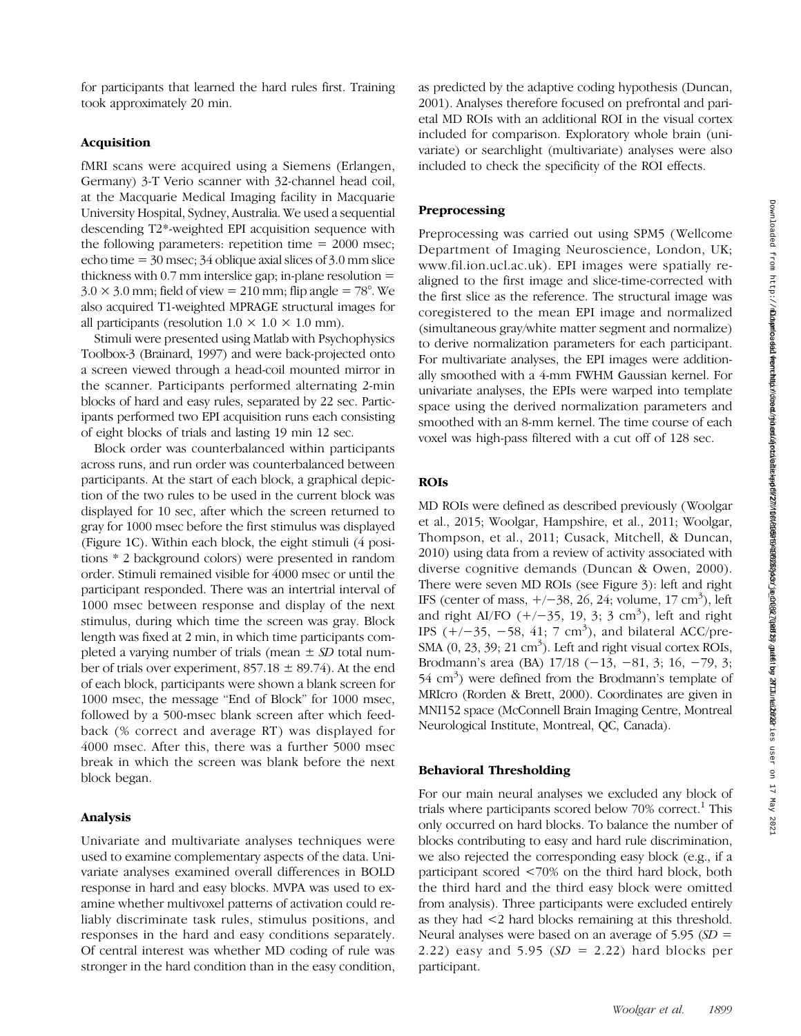for participants that learned the hard rules first. Training took approximately 20 min.

## Acquisition

fMRI scans were acquired using a Siemens (Erlangen, Germany) 3-T Verio scanner with 32-channel head coil, at the Macquarie Medical Imaging facility in Macquarie University Hospital, Sydney, Australia. We used a sequential descending T2\*-weighted EPI acquisition sequence with the following parameters: repetition time  $= 2000$  msec; echo time  $= 30$  msec; 34 oblique axial slices of 3.0 mm slice thickness with  $0.7$  mm interslice gap; in-plane resolution  $=$  $3.0 \times 3.0$  mm; field of view = 210 mm; flip angle = 78°. We also acquired T1-weighted MPRAGE structural images for all participants (resolution  $1.0 \times 1.0 \times 1.0$  mm).

Stimuli were presented using Matlab with Psychophysics Toolbox-3 (Brainard, 1997) and were back-projected onto a screen viewed through a head-coil mounted mirror in the scanner. Participants performed alternating 2-min blocks of hard and easy rules, separated by 22 sec. Participants performed two EPI acquisition runs each consisting of eight blocks of trials and lasting 19 min 12 sec.

Block order was counterbalanced within participants across runs, and run order was counterbalanced between participants. At the start of each block, a graphical depiction of the two rules to be used in the current block was displayed for 10 sec, after which the screen returned to gray for 1000 msec before the first stimulus was displayed (Figure 1C). Within each block, the eight stimuli (4 positions \* 2 background colors) were presented in random order. Stimuli remained visible for 4000 msec or until the participant responded. There was an intertrial interval of 1000 msec between response and display of the next stimulus, during which time the screen was gray. Block length was fixed at 2 min, in which time participants completed a varying number of trials (mean  $\pm$  SD total number of trials over experiment,  $857.18 \pm 89.74$ ). At the end of each block, participants were shown a blank screen for 1000 msec, the message "End of Block" for 1000 msec, followed by a 500-msec blank screen after which feedback (% correct and average RT) was displayed for 4000 msec. After this, there was a further 5000 msec break in which the screen was blank before the next block began.

#### Analysis

Univariate and multivariate analyses techniques were used to examine complementary aspects of the data. Univariate analyses examined overall differences in BOLD response in hard and easy blocks. MVPA was used to examine whether multivoxel patterns of activation could reliably discriminate task rules, stimulus positions, and responses in the hard and easy conditions separately. Of central interest was whether MD coding of rule was stronger in the hard condition than in the easy condition,

as predicted by the adaptive coding hypothesis (Duncan, 2001). Analyses therefore focused on prefrontal and parietal MD ROIs with an additional ROI in the visual cortex included for comparison. Exploratory whole brain (univariate) or searchlight (multivariate) analyses were also included to check the specificity of the ROI effects.

#### Preprocessing

Preprocessing was carried out using SPM5 (Wellcome Department of Imaging Neuroscience, London, UK; www.fil.ion.ucl.ac.uk). EPI images were spatially realigned to the first image and slice-time-corrected with the first slice as the reference. The structural image was coregistered to the mean EPI image and normalized (simultaneous gray/white matter segment and normalize) to derive normalization parameters for each participant. For multivariate analyses, the EPI images were additionally smoothed with a 4-mm FWHM Gaussian kernel. For univariate analyses, the EPIs were warped into template space using the derived normalization parameters and smoothed with an 8-mm kernel. The time course of each voxel was high-pass filtered with a cut off of 128 sec.

# ROIs

MD ROIs were defined as described previously (Woolgar et al., 2015; Woolgar, Hampshire, et al., 2011; Woolgar, Thompson, et al., 2011; Cusack, Mitchell, & Duncan, 2010) using data from a review of activity associated with diverse cognitive demands (Duncan & Owen, 2000). There were seven MD ROIs (see Figure 3): left and right IFS (center of mass,  $+/-38$ , 26, 24; volume, 17 cm<sup>3</sup>), left and right AI/FO  $(+/-35, 19, 3; 3 \text{ cm}^3)$ , left and right IPS  $(+/-35, -58, 41; 7 \text{ cm}^3)$ , and bilateral ACC/pre-SMA  $(0, 23, 39; 21 \text{ cm}^3)$ . Left and right visual cortex ROIs, Brodmann's area (BA) 17/18 (−13, −81, 3; 16, −79, 3; 54 cm<sup>3</sup>) were defined from the Brodmann's template of MRIcro (Rorden & Brett, 2000). Coordinates are given in MNI152 space (McConnell Brain Imaging Centre, Montreal Neurological Institute, Montreal, QC, Canada).

# Behavioral Thresholding

For our main neural analyses we excluded any block of trials where participants scored below  $70\%$  correct.<sup>1</sup> This only occurred on hard blocks. To balance the number of blocks contributing to easy and hard rule discrimination, we also rejected the corresponding easy block (e.g., if a participant scored <70% on the third hard block, both the third hard and the third easy block were omitted from analysis). Three participants were excluded entirely as they had <2 hard blocks remaining at this threshold. Neural analyses were based on an average of  $5.95$  (SD = 2.22) easy and 5.95  $(SD = 2.22)$  hard blocks per participant.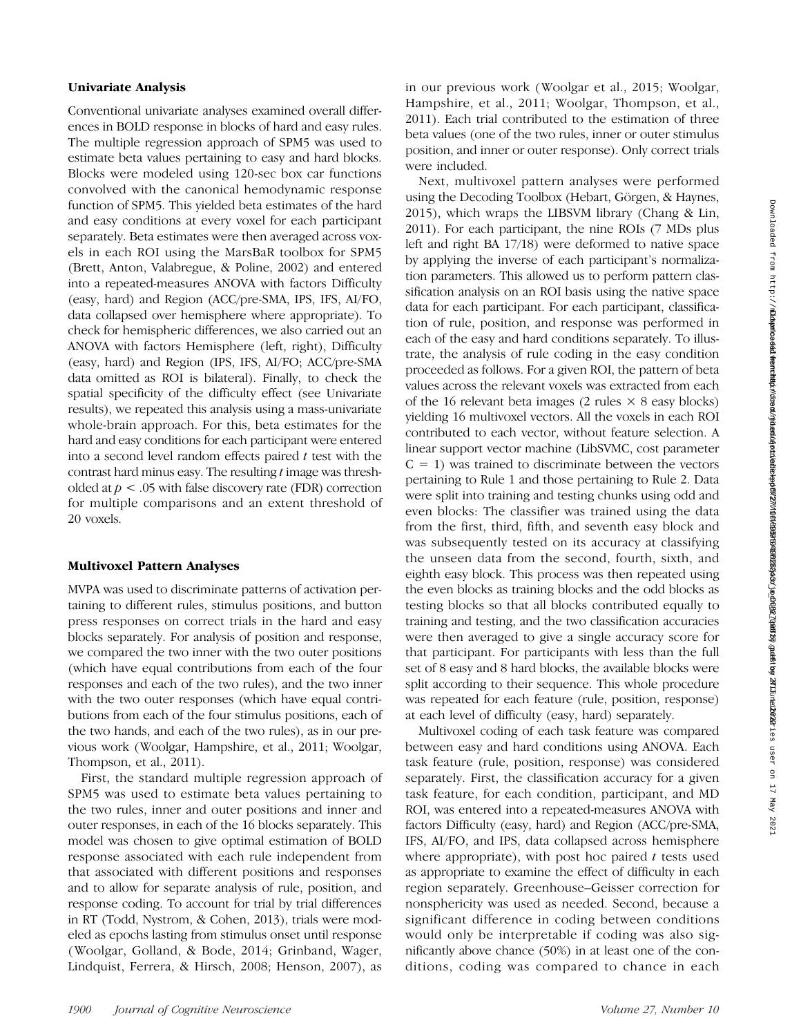# Univariate Analysis

Conventional univariate analyses examined overall differences in BOLD response in blocks of hard and easy rules. The multiple regression approach of SPM5 was used to estimate beta values pertaining to easy and hard blocks. Blocks were modeled using 120-sec box car functions convolved with the canonical hemodynamic response function of SPM5. This yielded beta estimates of the hard and easy conditions at every voxel for each participant separately. Beta estimates were then averaged across voxels in each ROI using the MarsBaR toolbox for SPM5 (Brett, Anton, Valabregue, & Poline, 2002) and entered into a repeated-measures ANOVA with factors Difficulty (easy, hard) and Region (ACC/pre-SMA, IPS, IFS, AI/FO, data collapsed over hemisphere where appropriate). To check for hemispheric differences, we also carried out an ANOVA with factors Hemisphere (left, right), Difficulty (easy, hard) and Region (IPS, IFS, AI/FO; ACC/pre-SMA data omitted as ROI is bilateral). Finally, to check the spatial specificity of the difficulty effect (see Univariate results), we repeated this analysis using a mass-univariate whole-brain approach. For this, beta estimates for the hard and easy conditions for each participant were entered into a second level random effects paired  $t$  test with the contrast hard minus easy. The resulting t image was thresholded at  $p < .05$  with false discovery rate (FDR) correction for multiple comparisons and an extent threshold of 20 voxels.

#### Multivoxel Pattern Analyses

MVPA was used to discriminate patterns of activation pertaining to different rules, stimulus positions, and button press responses on correct trials in the hard and easy blocks separately. For analysis of position and response, we compared the two inner with the two outer positions (which have equal contributions from each of the four responses and each of the two rules), and the two inner with the two outer responses (which have equal contributions from each of the four stimulus positions, each of the two hands, and each of the two rules), as in our previous work (Woolgar, Hampshire, et al., 2011; Woolgar, Thompson, et al., 2011).

First, the standard multiple regression approach of SPM5 was used to estimate beta values pertaining to the two rules, inner and outer positions and inner and outer responses, in each of the 16 blocks separately. This model was chosen to give optimal estimation of BOLD response associated with each rule independent from that associated with different positions and responses and to allow for separate analysis of rule, position, and response coding. To account for trial by trial differences in RT (Todd, Nystrom, & Cohen, 2013), trials were modeled as epochs lasting from stimulus onset until response (Woolgar, Golland, & Bode, 2014; Grinband, Wager, Lindquist, Ferrera, & Hirsch, 2008; Henson, 2007), as

in our previous work (Woolgar et al., 2015; Woolgar, Hampshire, et al., 2011; Woolgar, Thompson, et al., 2011). Each trial contributed to the estimation of three beta values (one of the two rules, inner or outer stimulus position, and inner or outer response). Only correct trials were included.

Next, multivoxel pattern analyses were performed using the Decoding Toolbox (Hebart, Görgen, & Haynes, 2015), which wraps the LIBSVM library (Chang & Lin, 2011). For each participant, the nine ROIs (7 MDs plus left and right BA 17/18) were deformed to native space by applying the inverse of each participant's normalization parameters. This allowed us to perform pattern classification analysis on an ROI basis using the native space data for each participant. For each participant, classification of rule, position, and response was performed in each of the easy and hard conditions separately. To illustrate, the analysis of rule coding in the easy condition proceeded as follows. For a given ROI, the pattern of beta values across the relevant voxels was extracted from each of the 16 relevant beta images (2 rules  $\times$  8 easy blocks) yielding 16 multivoxel vectors. All the voxels in each ROI contributed to each vector, without feature selection. A linear support vector machine (LibSVMC, cost parameter  $C = 1$ ) was trained to discriminate between the vectors pertaining to Rule 1 and those pertaining to Rule 2. Data were split into training and testing chunks using odd and even blocks: The classifier was trained using the data from the first, third, fifth, and seventh easy block and was subsequently tested on its accuracy at classifying the unseen data from the second, fourth, sixth, and eighth easy block. This process was then repeated using the even blocks as training blocks and the odd blocks as testing blocks so that all blocks contributed equally to training and testing, and the two classification accuracies were then averaged to give a single accuracy score for that participant. For participants with less than the full set of 8 easy and 8 hard blocks, the available blocks were split according to their sequence. This whole procedure was repeated for each feature (rule, position, response) at each level of difficulty (easy, hard) separately.

Multivoxel coding of each task feature was compared between easy and hard conditions using ANOVA. Each task feature (rule, position, response) was considered separately. First, the classification accuracy for a given task feature, for each condition, participant, and MD ROI, was entered into a repeated-measures ANOVA with factors Difficulty (easy, hard) and Region (ACC/pre-SMA, IFS, AI/FO, and IPS, data collapsed across hemisphere where appropriate), with post hoc paired  $t$  tests used as appropriate to examine the effect of difficulty in each region separately. Greenhouse–Geisser correction for nonsphericity was used as needed. Second, because a significant difference in coding between conditions would only be interpretable if coding was also significantly above chance (50%) in at least one of the conditions, coding was compared to chance in each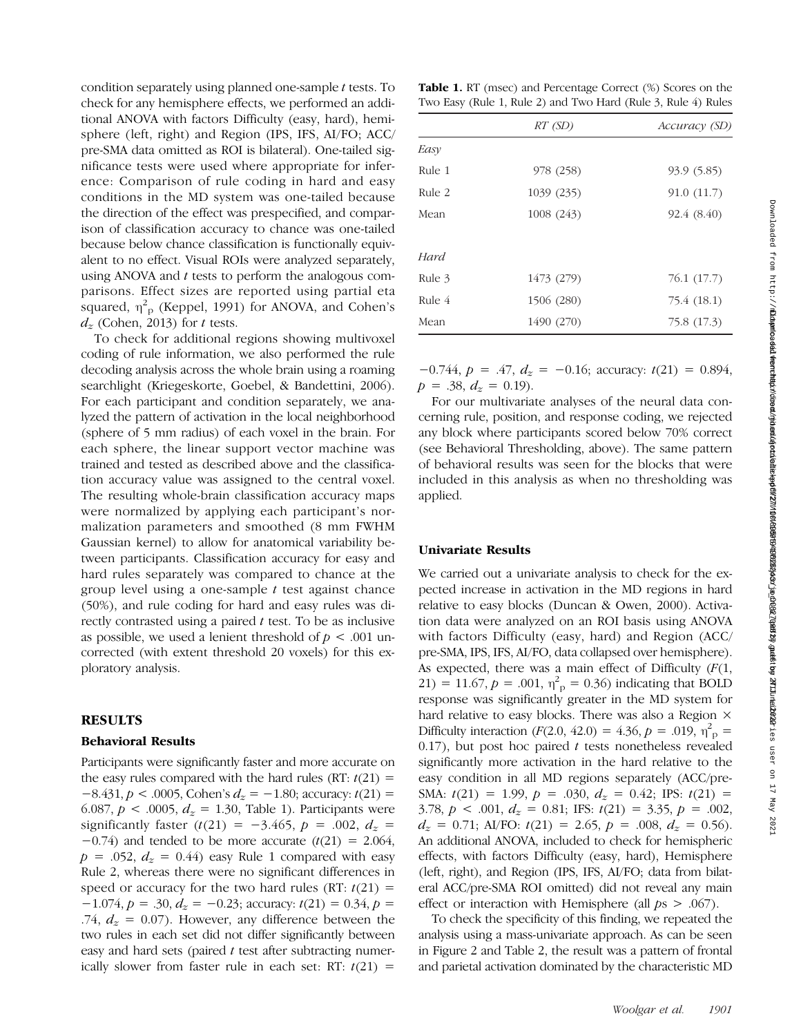condition separately using planned one-sample t tests. To check for any hemisphere effects, we performed an additional ANOVA with factors Difficulty (easy, hard), hemisphere (left, right) and Region (IPS, IFS, AI/FO; ACC/ pre-SMA data omitted as ROI is bilateral). One-tailed significance tests were used where appropriate for inference: Comparison of rule coding in hard and easy conditions in the MD system was one-tailed because the direction of the effect was prespecified, and comparison of classification accuracy to chance was one-tailed because below chance classification is functionally equivalent to no effect. Visual ROIs were analyzed separately, using ANOVA and t tests to perform the analogous comparisons. Effect sizes are reported using partial eta squared,  $\eta_{\text{p}}^2$  (Keppel, 1991) for ANOVA, and Cohen's  $d_z$  (Cohen, 2013) for t tests.

To check for additional regions showing multivoxel coding of rule information, we also performed the rule decoding analysis across the whole brain using a roaming searchlight (Kriegeskorte, Goebel, & Bandettini, 2006). For each participant and condition separately, we analyzed the pattern of activation in the local neighborhood (sphere of 5 mm radius) of each voxel in the brain. For each sphere, the linear support vector machine was trained and tested as described above and the classification accuracy value was assigned to the central voxel. The resulting whole-brain classification accuracy maps were normalized by applying each participant's normalization parameters and smoothed (8 mm FWHM Gaussian kernel) to allow for anatomical variability between participants. Classification accuracy for easy and hard rules separately was compared to chance at the group level using a one-sample  $t$  test against chance (50%), and rule coding for hard and easy rules was directly contrasted using a paired  $t$  test. To be as inclusive as possible, we used a lenient threshold of  $p < .001$  uncorrected (with extent threshold 20 voxels) for this exploratory analysis.

# RESULTS

#### Behavioral Results

Participants were significantly faster and more accurate on the easy rules compared with the hard rules (RT:  $t(21)$  =  $-8.431, p < .0005$ , Cohen's  $d_z = -1.80$ ; accuracy:  $t(21) =$ 6.087,  $p < .0005$ ,  $d_z = 1.30$ , Table 1). Participants were significantly faster  $(t(21) = -3.465, p = .002, d_z =$  $-0.74$ ) and tended to be more accurate (t(21) = 2.064,  $p = .052$ ,  $d_z = 0.44$ ) easy Rule 1 compared with easy Rule 2, whereas there were no significant differences in speed or accuracy for the two hard rules (RT:  $t(21)$  =  $-1.074$ ,  $p = .30$ ,  $d_z = -0.23$ ; accuracy:  $t(21) = 0.34$ ,  $p =$ .74,  $d_z = 0.07$ ). However, any difference between the two rules in each set did not differ significantly between easy and hard sets (paired  $t$  test after subtracting numerically slower from faster rule in each set:  $RT: t(21) =$ 

Table 1. RT (msec) and Percentage Correct (%) Scores on the Two Easy (Rule 1, Rule 2) and Two Hard (Rule 3, Rule 4) Rules

| RT (SD)    | Accuracy (SD) |  |  |  |
|------------|---------------|--|--|--|
|            |               |  |  |  |
| 978 (258)  | 93.9 (5.85)   |  |  |  |
| 1039 (235) | 91.0(11.7)    |  |  |  |
| 1008 (243) | 92.4 (8.40)   |  |  |  |
|            |               |  |  |  |
|            |               |  |  |  |
| 1473 (279) | 76.1 (17.7)   |  |  |  |
| 1506 (280) | 75.4 (18.1)   |  |  |  |
| 1490 (270) | 75.8 (17.3)   |  |  |  |
|            |               |  |  |  |

 $-0.744$ ,  $p = .47$ ,  $d_z = -0.16$ ; accuracy:  $t(21) = 0.894$ ,  $p = .38$ ,  $d_z = 0.19$ ).

For our multivariate analyses of the neural data concerning rule, position, and response coding, we rejected any block where participants scored below 70% correct (see Behavioral Thresholding, above). The same pattern of behavioral results was seen for the blocks that were included in this analysis as when no thresholding was applied.

#### Univariate Results

We carried out a univariate analysis to check for the expected increase in activation in the MD regions in hard relative to easy blocks (Duncan & Owen, 2000). Activation data were analyzed on an ROI basis using ANOVA with factors Difficulty (easy, hard) and Region (ACC/ pre-SMA, IPS, IFS, AI/FO, data collapsed over hemisphere). As expected, there was a main effect of Difficulty  $(F(1,$ 21) = 11.67,  $p = .001$ ,  $\eta_{\text{p}}^2 = 0.36$ ) indicating that BOLD response was significantly greater in the MD system for hard relative to easy blocks. There was also a Region  $\times$ Difficulty interaction  $(F(2.0, 42.0) = 4.36, p = .019, \eta_{\text{p}}^2 =$ 0.17), but post hoc paired  $t$  tests nonetheless revealed significantly more activation in the hard relative to the easy condition in all MD regions separately (ACC/pre-SMA:  $t(21) = 1.99$ ,  $p = .030$ ,  $d<sub>z</sub> = 0.42$ ; IPS:  $t(21) =$ 3.78,  $p < .001$ ,  $d_z = 0.81$ ; IFS:  $t(21) = 3.35$ ,  $p = .002$ ,  $d_z = 0.71$ ; AI/FO:  $t(21) = 2.65$ ,  $p = .008$ ,  $d_z = 0.56$ ). An additional ANOVA, included to check for hemispheric effects, with factors Difficulty (easy, hard), Hemisphere (left, right), and Region (IPS, IFS, AI/FO; data from bilateral ACC/pre-SMA ROI omitted) did not reveal any main effect or interaction with Hemisphere (all  $ps > .067$ ).

To check the specificity of this finding, we repeated the analysis using a mass-univariate approach. As can be seen in Figure 2 and Table 2, the result was a pattern of frontal and parietal activation dominated by the characteristic MD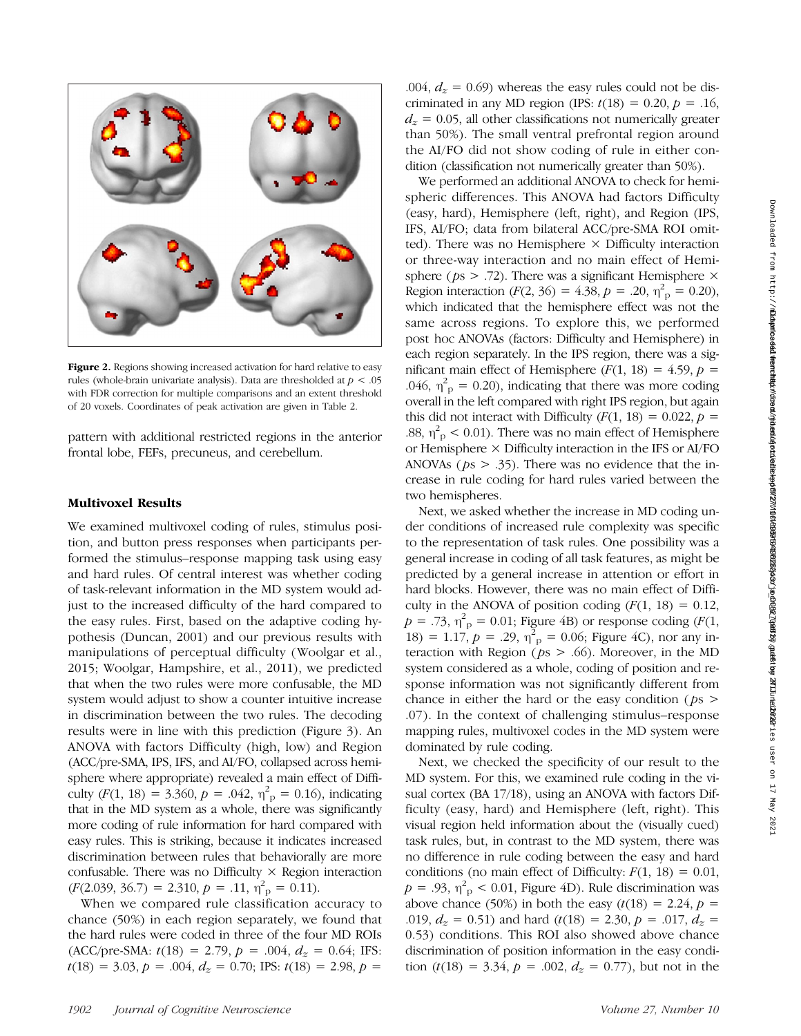

Figure 2. Regions showing increased activation for hard relative to easy rules (whole-brain univariate analysis). Data are thresholded at  $p < .05$ with FDR correction for multiple comparisons and an extent threshold of 20 voxels. Coordinates of peak activation are given in Table 2.

pattern with additional restricted regions in the anterior frontal lobe, FEFs, precuneus, and cerebellum.

#### Multivoxel Results

We examined multivoxel coding of rules, stimulus position, and button press responses when participants performed the stimulus–response mapping task using easy and hard rules. Of central interest was whether coding of task-relevant information in the MD system would adjust to the increased difficulty of the hard compared to the easy rules. First, based on the adaptive coding hypothesis (Duncan, 2001) and our previous results with manipulations of perceptual difficulty (Woolgar et al., 2015; Woolgar, Hampshire, et al., 2011), we predicted that when the two rules were more confusable, the MD system would adjust to show a counter intuitive increase in discrimination between the two rules. The decoding results were in line with this prediction (Figure 3). An ANOVA with factors Difficulty (high, low) and Region (ACC/pre-SMA, IPS, IFS, and AI/FO, collapsed across hemisphere where appropriate) revealed a main effect of Difficulty  $(F(1, 18) = 3.360, p = .042, \eta_{p}^{2} = 0.16)$ , indicating that in the MD system as a whole, there was significantly more coding of rule information for hard compared with easy rules. This is striking, because it indicates increased discrimination between rules that behaviorally are more confusable. There was no Difficulty  $\times$  Region interaction  $(F(2.039, 36.7) = 2.310, p = .11, \eta_{p}^{2} = 0.11).$ 

When we compared rule classification accuracy to chance (50%) in each region separately, we found that the hard rules were coded in three of the four MD ROIs  $(ACC/pre-SMA: t(18) = 2.79, p = .004, d<sub>z</sub> = 0.64; IFS:$  $t(18) = 3.03, p = .004, d<sub>z</sub> = 0.70; IPS: t(18) = 2.98, p =$ 

.004,  $d_z = 0.69$ ) whereas the easy rules could not be discriminated in any MD region (IPS:  $t(18) = 0.20$ ,  $p = .16$ ,  $d<sub>z</sub> = 0.05$ , all other classifications not numerically greater than 50%). The small ventral prefrontal region around the AI/FO did not show coding of rule in either condition (classification not numerically greater than 50%).

We performed an additional ANOVA to check for hemispheric differences. This ANOVA had factors Difficulty (easy, hard), Hemisphere (left, right), and Region (IPS, IFS, AI/FO; data from bilateral ACC/pre-SMA ROI omitted). There was no Hemisphere  $\times$  Difficulty interaction or three-way interaction and no main effect of Hemisphere ( $ps$  > .72). There was a significant Hemisphere  $\times$ Region interaction  $(F(2, 36) = 4.38, p = .20, \eta_{p}^{2} = 0.20)$ , which indicated that the hemisphere effect was not the same across regions. To explore this, we performed post hoc ANOVAs (factors: Difficulty and Hemisphere) in each region separately. In the IPS region, there was a significant main effect of Hemisphere  $(F(1, 18) = 4.59, p =$ .046,  $\eta_{\rm p}^2 = 0.20$ ), indicating that there was more coding overall in the left compared with right IPS region, but again this did not interact with Difficulty  $(F(1, 18) = 0.022, p =$ .88,  $\eta_{\text{p}}^2$  < 0.01). There was no main effect of Hemisphere or Hemisphere × Difficulty interaction in the IFS or AI/FO ANOVAs ( $ps > .35$ ). There was no evidence that the increase in rule coding for hard rules varied between the two hemispheres.

Next, we asked whether the increase in MD coding under conditions of increased rule complexity was specific to the representation of task rules. One possibility was a general increase in coding of all task features, as might be predicted by a general increase in attention or effort in hard blocks. However, there was no main effect of Difficulty in the ANOVA of position coding  $(F(1, 18) = 0.12)$ ,  $p = .73$ ,  $\eta_{\text{p}}^2 = 0.01$ ; Figure 4B) or response coding (F(1,  $18) = 1.17, p = .29, \eta_{p}^{2} = 0.06$ ; Figure 4C), nor any interaction with Region ( $ps > .66$ ). Moreover, in the MD system considered as a whole, coding of position and response information was not significantly different from chance in either the hard or the easy condition ( $ps$ ) .07). In the context of challenging stimulus–response mapping rules, multivoxel codes in the MD system were dominated by rule coding.

Next, we checked the specificity of our result to the MD system. For this, we examined rule coding in the visual cortex (BA 17/18), using an ANOVA with factors Difficulty (easy, hard) and Hemisphere (left, right). This visual region held information about the (visually cued) task rules, but, in contrast to the MD system, there was no difference in rule coding between the easy and hard conditions (no main effect of Difficulty:  $F(1, 18) = 0.01$ ,  $p = .93$ ,  $\eta_p^2 < 0.01$ , Figure 4D). Rule discrimination was above chance (50%) in both the easy  $(t(18) = 2.24, p =$ .019,  $d_z = 0.51$ ) and hard  $(t(18) = 2.30, p = .017, d_z =$ 0.53) conditions. This ROI also showed above chance discrimination of position information in the easy condition (t(18) = 3.34,  $p = .002$ ,  $d_z = 0.77$ ), but not in the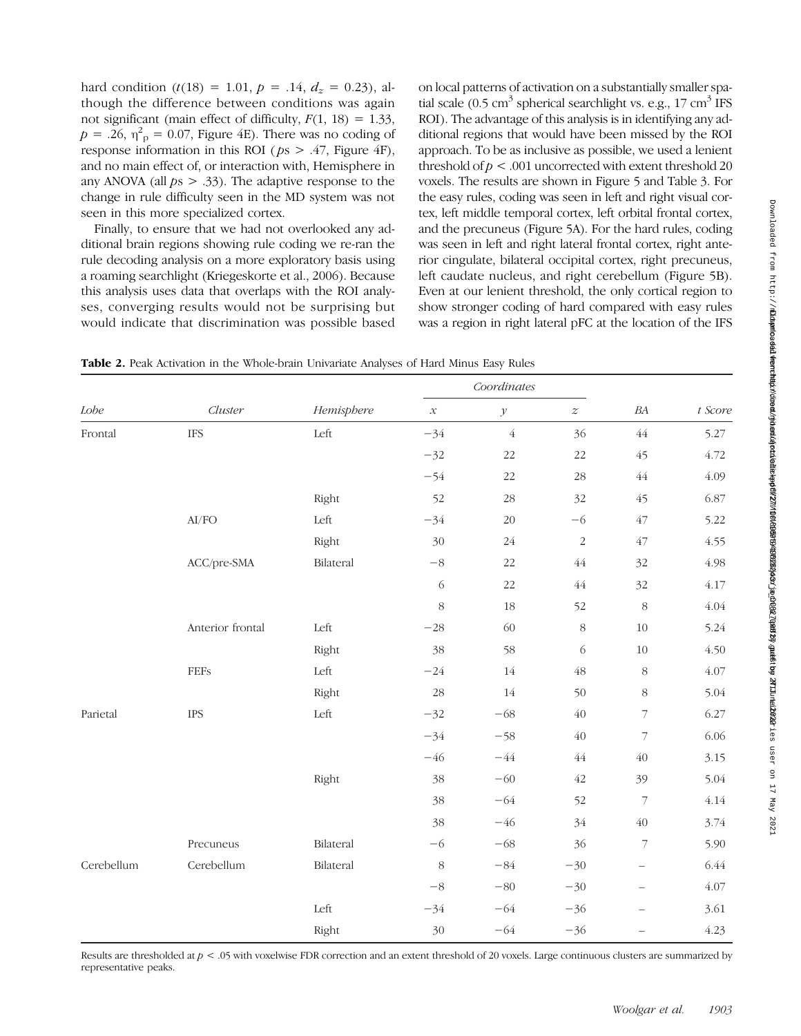hard condition  $(t(18) = 1.01, p = .14, d_z = 0.23)$ , although the difference between conditions was again not significant (main effect of difficulty,  $F(1, 18) = 1.33$ ,  $p = .26$ ,  $\eta_{\text{p}}^2 = 0.07$ , Figure 4E). There was no coding of response information in this ROI ( $ps > .47$ , Figure 4F), and no main effect of, or interaction with, Hemisphere in any ANOVA (all  $ps > .33$ ). The adaptive response to the change in rule difficulty seen in the MD system was not seen in this more specialized cortex.

Finally, to ensure that we had not overlooked any additional brain regions showing rule coding we re-ran the rule decoding analysis on a more exploratory basis using a roaming searchlight (Kriegeskorte et al., 2006). Because this analysis uses data that overlaps with the ROI analyses, converging results would not be surprising but would indicate that discrimination was possible based

on local patterns of activation on a substantially smaller spatial scale (0.5 cm<sup>3</sup> spherical searchlight vs. e.g., 17 cm<sup>3</sup> IFS ROI). The advantage of this analysis is in identifying any additional regions that would have been missed by the ROI approach. To be as inclusive as possible, we used a lenient threshold of  $p < .001$  uncorrected with extent threshold 20 voxels. The results are shown in Figure 5 and Table 3. For the easy rules, coding was seen in left and right visual cortex, left middle temporal cortex, left orbital frontal cortex, and the precuneus (Figure 5A). For the hard rules, coding was seen in left and right lateral frontal cortex, right anterior cingulate, bilateral occipital cortex, right precuneus, left caudate nucleus, and right cerebellum (Figure 5B). Even at our lenient threshold, the only cortical region to show stronger coding of hard compared with easy rules was a region in right lateral pFC at the location of the IFS

Table 2. Peak Activation in the Whole-brain Univariate Analyses of Hard Minus Easy Rules

| $\emph{Lobe}$ | Cluster                                                           | Hemisphere | Coordinates                |                    |                  |                          |          |
|---------------|-------------------------------------------------------------------|------------|----------------------------|--------------------|------------------|--------------------------|----------|
|               |                                                                   |            | $\boldsymbol{\mathcal{X}}$ | $\mathcal Y$       | $\boldsymbol{z}$ | $B\!A$                   | t Score  |
| Frontal       | <b>IFS</b>                                                        | Left       | $-34$                      | $\acute{\text{4}}$ | 36               | $\sqrt{44}$              | 5.27     |
|               |                                                                   |            | $-32$                      | $22\,$             | 22               | 45                       | 4.72     |
|               |                                                                   |            | $-54$                      | 22                 | $28\,$           | $\sqrt{44}$              | 4.09     |
|               |                                                                   | Right      | 52                         | $28\,$             | 32               | 45                       | 6.87     |
|               | $\ensuremath{\mathrm{Al}}\xspace/\ensuremath{\mathrm{FO}}\xspace$ | Left       | $-34$                      | 20                 | $-6\,$           | $47\,$                   | 5.22     |
|               |                                                                   | Right      | 30                         | $24\,$             | $\sqrt{2}$       | $47\,$                   | 4.55     |
|               | ACC/pre-SMA                                                       | Bilateral  | $-8\,$                     | 22                 | $\sqrt{44}$      | 32                       | 4.98     |
|               |                                                                   |            | $\sqrt{6}$                 | $22\,$             | $\sqrt{44}$      | 32                       | 4.17     |
|               |                                                                   |            | $\,8\,$                    | $18\,$             | 52               | $\,8\,$                  | $4.04\,$ |
|               | Anterior frontal                                                  | Left       | $-28\,$                    | 60                 | 8                | $10\,$                   | 5.24     |
|               |                                                                   | Right      | 38                         | 58                 | 6                | $10\,$                   | 4.50     |
|               | $\rm{FEFs}$                                                       | Left       | $-24$                      | $14\,$             | 48               | $8\,$                    | 4.07     |
|               |                                                                   | Right      | 28                         | $14\,$             | 50               | $8\,$                    | 5.04     |
| Parietal      | <b>IPS</b>                                                        | Left       | $-32$                      | $-68\,$            | 40               | $\overline{\phantom{a}}$ | 6.27     |
|               |                                                                   |            | $-34$                      | $-58$              | $\sqrt{40}$      | $\overline{7}$           | 6.06     |
|               |                                                                   |            | $-46$                      | $-44\,$            | $\sqrt{44}$      | $\sqrt{40}$              | 3.15     |
|               |                                                                   | Right      | 38                         | $-60$              | $42\,$           | 39                       | 5.04     |
|               |                                                                   |            | 38                         | $-64$              | 52               | $\overline{\phantom{a}}$ | 4.14     |
|               |                                                                   |            | 38                         | $-46$              | 34               | $40\,$                   | 3.74     |
|               | Precuneus                                                         | Bilateral  | $-6$                       | $-68$              | 36               | $\overline{\phantom{a}}$ | 5.90     |
| Cerebellum    | Cerebellum                                                        | Bilateral  | $\,8\,$                    | $-84\,$            | $-30$            | $\qquad \qquad -$        | 6.44     |
|               |                                                                   |            | $-8$                       | $-80\,$            | $-30$            | $\qquad \qquad -$        | 4.07     |
|               |                                                                   | Left       | $-34$                      | $-64\,$            | $-36$            | $\qquad \qquad -$        | 3.61     |
|               |                                                                   | Right      | 30                         | $-64$              | $-36$            | $\overline{\phantom{0}}$ | 4.23     |

Results are thresholded at  $p < .05$  with voxelwise FDR correction and an extent threshold of 20 voxels. Large continuous clusters are summarized by representative peaks.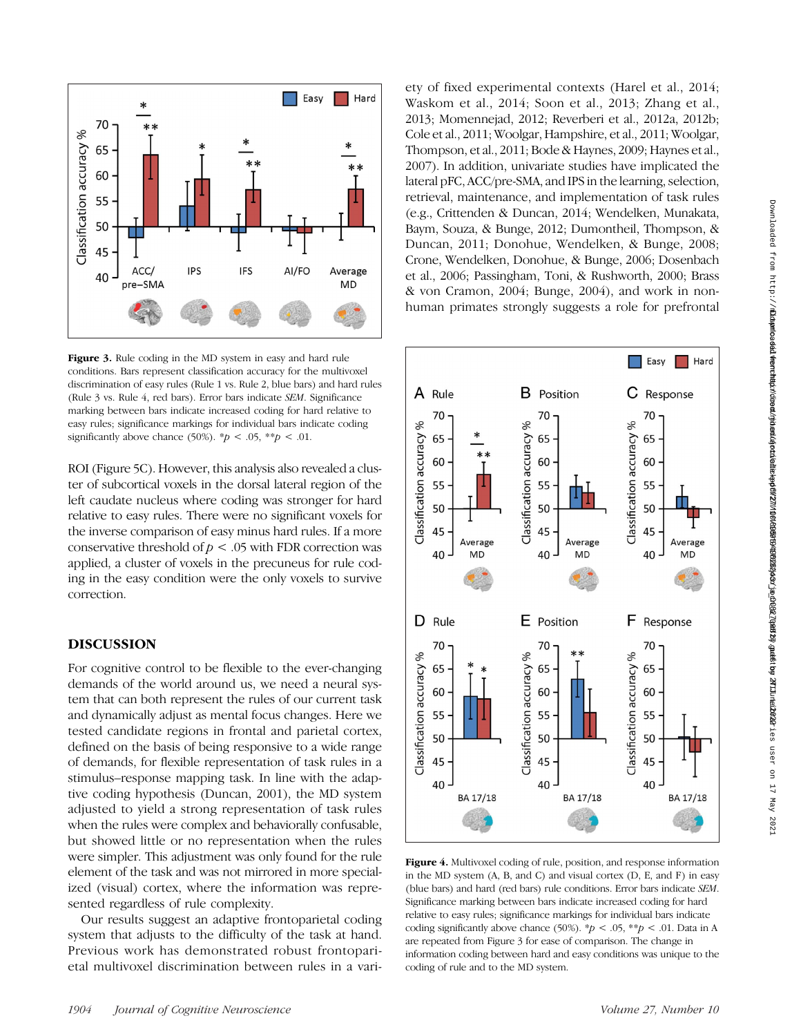

Figure 3. Rule coding in the MD system in easy and hard rule conditions. Bars represent classification accuracy for the multivoxel discrimination of easy rules (Rule 1 vs. Rule 2, blue bars) and hard rules (Rule 3 vs. Rule 4, red bars). Error bars indicate SEM. Significance marking between bars indicate increased coding for hard relative to easy rules; significance markings for individual bars indicate coding significantly above chance (50%).  $\sp{*}p < .05$ ,  $\sp{*}p < .01$ .

ROI (Figure 5C). However, this analysis also revealed a cluster of subcortical voxels in the dorsal lateral region of the left caudate nucleus where coding was stronger for hard relative to easy rules. There were no significant voxels for the inverse comparison of easy minus hard rules. If a more conservative threshold of  $p < .05$  with FDR correction was applied, a cluster of voxels in the precuneus for rule coding in the easy condition were the only voxels to survive correction.

# DISCUSSION

For cognitive control to be flexible to the ever-changing demands of the world around us, we need a neural system that can both represent the rules of our current task and dynamically adjust as mental focus changes. Here we tested candidate regions in frontal and parietal cortex, defined on the basis of being responsive to a wide range of demands, for flexible representation of task rules in a stimulus–response mapping task. In line with the adaptive coding hypothesis (Duncan, 2001), the MD system adjusted to yield a strong representation of task rules when the rules were complex and behaviorally confusable, but showed little or no representation when the rules were simpler. This adjustment was only found for the rule element of the task and was not mirrored in more specialized (visual) cortex, where the information was represented regardless of rule complexity.

Our results suggest an adaptive frontoparietal coding system that adjusts to the difficulty of the task at hand. Previous work has demonstrated robust frontoparietal multivoxel discrimination between rules in a variety of fixed experimental contexts (Harel et al., 2014; Waskom et al., 2014; Soon et al., 2013; Zhang et al., 2013; Momennejad, 2012; Reverberi et al., 2012a, 2012b; Cole et al., 2011; Woolgar, Hampshire, et al., 2011; Woolgar, Thompson, et al., 2011; Bode & Haynes, 2009; Haynes et al., 2007). In addition, univariate studies have implicated the lateral pFC, ACC/pre-SMA, and IPS in the learning, selection, retrieval, maintenance, and implementation of task rules (e.g., Crittenden & Duncan, 2014; Wendelken, Munakata, Baym, Souza, & Bunge, 2012; Dumontheil, Thompson, & Duncan, 2011; Donohue, Wendelken, & Bunge, 2008; Crone, Wendelken, Donohue, & Bunge, 2006; Dosenbach et al., 2006; Passingham, Toni, & Rushworth, 2000; Brass & von Cramon, 2004; Bunge, 2004), and work in nonhuman primates strongly suggests a role for prefrontal



Figure 4. Multivoxel coding of rule, position, and response information in the MD system (A, B, and C) and visual cortex (D, E, and F) in easy (blue bars) and hard (red bars) rule conditions. Error bars indicate SEM. Significance marking between bars indicate increased coding for hard relative to easy rules; significance markings for individual bars indicate coding significantly above chance (50%).  $^{*}p < .05$ ,  $^{*}p < .01$ . Data in A are repeated from Figure 3 for ease of comparison. The change in information coding between hard and easy conditions was unique to the coding of rule and to the MD system.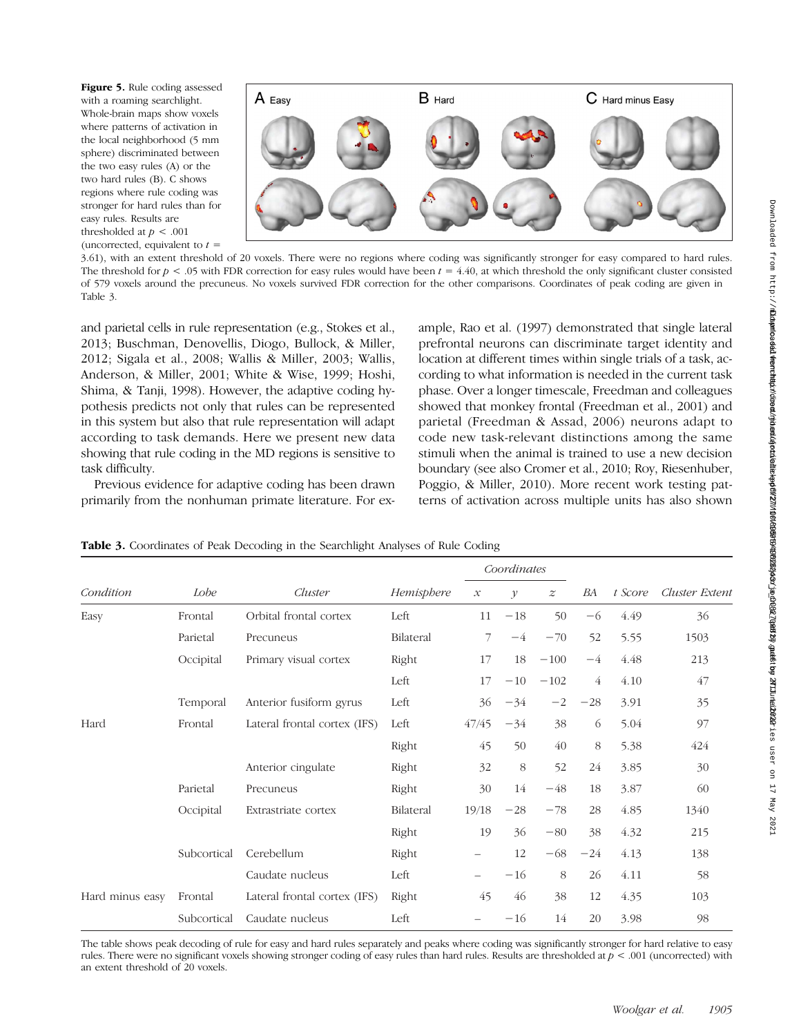Figure 5. Rule coding assessed with a roaming searchlight. Whole-brain maps show voxels where patterns of activation in the local neighborhood (5 mm sphere) discriminated between the two easy rules (A) or the two hard rules (B). C shows regions where rule coding was stronger for hard rules than for easy rules. Results are thresholded at  $p < .001$ (uncorrected, equivalent to  $t =$ 



3.61), with an extent threshold of 20 voxels. There were no regions where coding was significantly stronger for easy compared to hard rules. The threshold for  $p < .05$  with FDR correction for easy rules would have been  $t = 4.40$ , at which threshold the only significant cluster consisted of 579 voxels around the precuneus. No voxels survived FDR correction for the other comparisons. Coordinates of peak coding are given in Table 3.

and parietal cells in rule representation (e.g., Stokes et al., 2013; Buschman, Denovellis, Diogo, Bullock, & Miller, 2012; Sigala et al., 2008; Wallis & Miller, 2003; Wallis, Anderson, & Miller, 2001; White & Wise, 1999; Hoshi, Shima, & Tanji, 1998). However, the adaptive coding hypothesis predicts not only that rules can be represented in this system but also that rule representation will adapt according to task demands. Here we present new data showing that rule coding in the MD regions is sensitive to task difficulty.

Previous evidence for adaptive coding has been drawn primarily from the nonhuman primate literature. For ex-

ample, Rao et al. (1997) demonstrated that single lateral prefrontal neurons can discriminate target identity and location at different times within single trials of a task, according to what information is needed in the current task phase. Over a longer timescale, Freedman and colleagues showed that monkey frontal (Freedman et al., 2001) and parietal (Freedman & Assad, 2006) neurons adapt to code new task-relevant distinctions among the same stimuli when the animal is trained to use a new decision boundary (see also Cromer et al., 2010; Roy, Riesenhuber, Poggio, & Miller, 2010). More recent work testing patterns of activation across multiple units has also shown

|                 |             |                              |            | Coordinates         |              |                  |       |         |                       |
|-----------------|-------------|------------------------------|------------|---------------------|--------------|------------------|-------|---------|-----------------------|
| Condition       | Lobe        | Cluster                      | Hemisphere | $\mathcal{X}% _{0}$ | $\mathcal V$ | $\boldsymbol{z}$ | BA    | t Score | <b>Cluster Extent</b> |
| Easy            | Frontal     | Orbital frontal cortex       | Left       | 11                  | $-18$        | 50               | $-6$  | 4.49    | 36                    |
|                 | Parietal    | Precuneus                    | Bilateral  | 7                   | $-4$         | $-70$            | 52    | 5.55    | 1503                  |
|                 | Occipital   | Primary visual cortex        | Right      | 17                  | 18           | $-100$           | $-4$  | 4.48    | 213                   |
|                 |             |                              | Left       | 17                  | $-10$        | $-102$           | 4     | 4.10    | 47                    |
|                 | Temporal    | Anterior fusiform gyrus      | Left       | 36                  | $-34$        | $-2$             | $-28$ | 3.91    | 35                    |
| Hard            | Frontal     | Lateral frontal cortex (IFS) | Left       | 47/45               | $-34$        | 38               | 6     | 5.04    | 97                    |
|                 |             |                              | Right      | 45                  | 50           | 40               | 8     | 5.38    | 424                   |
|                 |             | Anterior cingulate           | Right      | 32                  | 8            | 52               | 24    | 3.85    | 30                    |
|                 | Parietal    | Precuneus                    | Right      | 30                  | 14           | $-48$            | 18    | 3.87    | 60                    |
|                 | Occipital   | Extrastriate cortex          | Bilateral  | 19/18               | $-28$        | $-78$            | 28    | 4.85    | 1340                  |
|                 |             |                              | Right      | 19                  | 36           | $-80$            | 38    | 4.32    | 215                   |
|                 | Subcortical | Cerebellum                   | Right      |                     | 12           | $-68$            | $-24$ | 4.13    | 138                   |
|                 |             | Caudate nucleus              | Left       | $\qquad \qquad -$   | $-16$        | 8                | 26    | 4.11    | 58                    |
| Hard minus easy | Frontal     | Lateral frontal cortex (IFS) | Right      | 45                  | 46           | 38               | 12    | 4.35    | 103                   |
|                 | Subcortical | Caudate nucleus              | Left       |                     | $-16$        | 14               | 20    | 3.98    | 98                    |

Table 3. Coordinates of Peak Decoding in the Searchlight Analyses of Rule Coding

The table shows peak decoding of rule for easy and hard rules separately and peaks where coding was significantly stronger for hard relative to easy rules. There were no significant voxels showing stronger coding of easy rules than hard rules. Results are thresholded at  $p < .001$  (uncorrected) with an extent threshold of 20 voxels.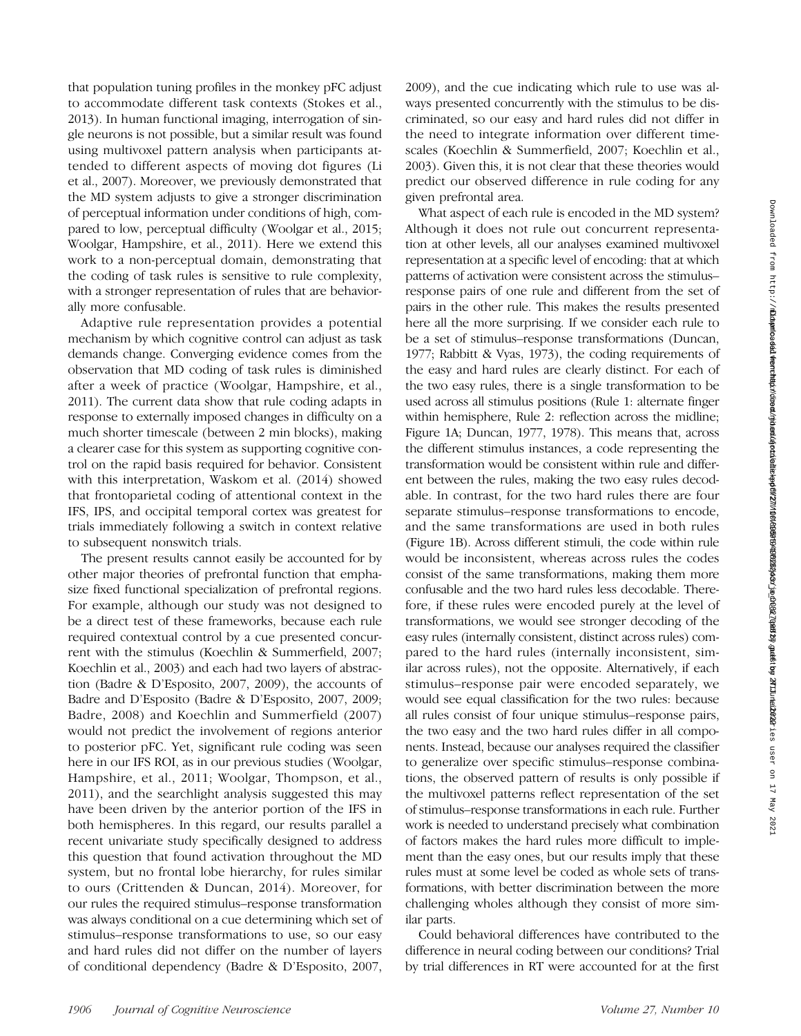that population tuning profiles in the monkey pFC adjust to accommodate different task contexts (Stokes et al., 2013). In human functional imaging, interrogation of single neurons is not possible, but a similar result was found using multivoxel pattern analysis when participants attended to different aspects of moving dot figures (Li et al., 2007). Moreover, we previously demonstrated that the MD system adjusts to give a stronger discrimination of perceptual information under conditions of high, compared to low, perceptual difficulty (Woolgar et al., 2015; Woolgar, Hampshire, et al., 2011). Here we extend this work to a non-perceptual domain, demonstrating that the coding of task rules is sensitive to rule complexity, with a stronger representation of rules that are behaviorally more confusable.

Adaptive rule representation provides a potential mechanism by which cognitive control can adjust as task demands change. Converging evidence comes from the observation that MD coding of task rules is diminished after a week of practice (Woolgar, Hampshire, et al., 2011). The current data show that rule coding adapts in response to externally imposed changes in difficulty on a much shorter timescale (between 2 min blocks), making a clearer case for this system as supporting cognitive control on the rapid basis required for behavior. Consistent with this interpretation, Waskom et al. (2014) showed that frontoparietal coding of attentional context in the IFS, IPS, and occipital temporal cortex was greatest for trials immediately following a switch in context relative to subsequent nonswitch trials.

The present results cannot easily be accounted for by other major theories of prefrontal function that emphasize fixed functional specialization of prefrontal regions. For example, although our study was not designed to be a direct test of these frameworks, because each rule required contextual control by a cue presented concurrent with the stimulus (Koechlin & Summerfield, 2007; Koechlin et al., 2003) and each had two layers of abstraction (Badre & D'Esposito, 2007, 2009), the accounts of Badre and D'Esposito (Badre & D'Esposito, 2007, 2009; Badre, 2008) and Koechlin and Summerfield (2007) would not predict the involvement of regions anterior to posterior pFC. Yet, significant rule coding was seen here in our IFS ROI, as in our previous studies (Woolgar, Hampshire, et al., 2011; Woolgar, Thompson, et al., 2011), and the searchlight analysis suggested this may have been driven by the anterior portion of the IFS in both hemispheres. In this regard, our results parallel a recent univariate study specifically designed to address this question that found activation throughout the MD system, but no frontal lobe hierarchy, for rules similar to ours (Crittenden & Duncan, 2014). Moreover, for our rules the required stimulus–response transformation was always conditional on a cue determining which set of stimulus–response transformations to use, so our easy and hard rules did not differ on the number of layers of conditional dependency (Badre & D'Esposito, 2007,

2009), and the cue indicating which rule to use was always presented concurrently with the stimulus to be discriminated, so our easy and hard rules did not differ in the need to integrate information over different timescales (Koechlin & Summerfield, 2007; Koechlin et al., 2003). Given this, it is not clear that these theories would predict our observed difference in rule coding for any given prefrontal area.

What aspect of each rule is encoded in the MD system? Although it does not rule out concurrent representation at other levels, all our analyses examined multivoxel representation at a specific level of encoding: that at which patterns of activation were consistent across the stimulus– response pairs of one rule and different from the set of pairs in the other rule. This makes the results presented here all the more surprising. If we consider each rule to be a set of stimulus–response transformations (Duncan, 1977; Rabbitt & Vyas, 1973), the coding requirements of the easy and hard rules are clearly distinct. For each of the two easy rules, there is a single transformation to be used across all stimulus positions (Rule 1: alternate finger within hemisphere, Rule 2: reflection across the midline; Figure 1A; Duncan, 1977, 1978). This means that, across the different stimulus instances, a code representing the transformation would be consistent within rule and different between the rules, making the two easy rules decodable. In contrast, for the two hard rules there are four separate stimulus–response transformations to encode, and the same transformations are used in both rules (Figure 1B). Across different stimuli, the code within rule would be inconsistent, whereas across rules the codes consist of the same transformations, making them more confusable and the two hard rules less decodable. Therefore, if these rules were encoded purely at the level of transformations, we would see stronger decoding of the easy rules (internally consistent, distinct across rules) compared to the hard rules (internally inconsistent, similar across rules), not the opposite. Alternatively, if each stimulus–response pair were encoded separately, we would see equal classification for the two rules: because all rules consist of four unique stimulus–response pairs, the two easy and the two hard rules differ in all components. Instead, because our analyses required the classifier to generalize over specific stimulus–response combinations, the observed pattern of results is only possible if the multivoxel patterns reflect representation of the set of stimulus–response transformations in each rule. Further work is needed to understand precisely what combination of factors makes the hard rules more difficult to implement than the easy ones, but our results imply that these rules must at some level be coded as whole sets of transformations, with better discrimination between the more challenging wholes although they consist of more similar parts.

Could behavioral differences have contributed to the difference in neural coding between our conditions? Trial by trial differences in RT were accounted for at the first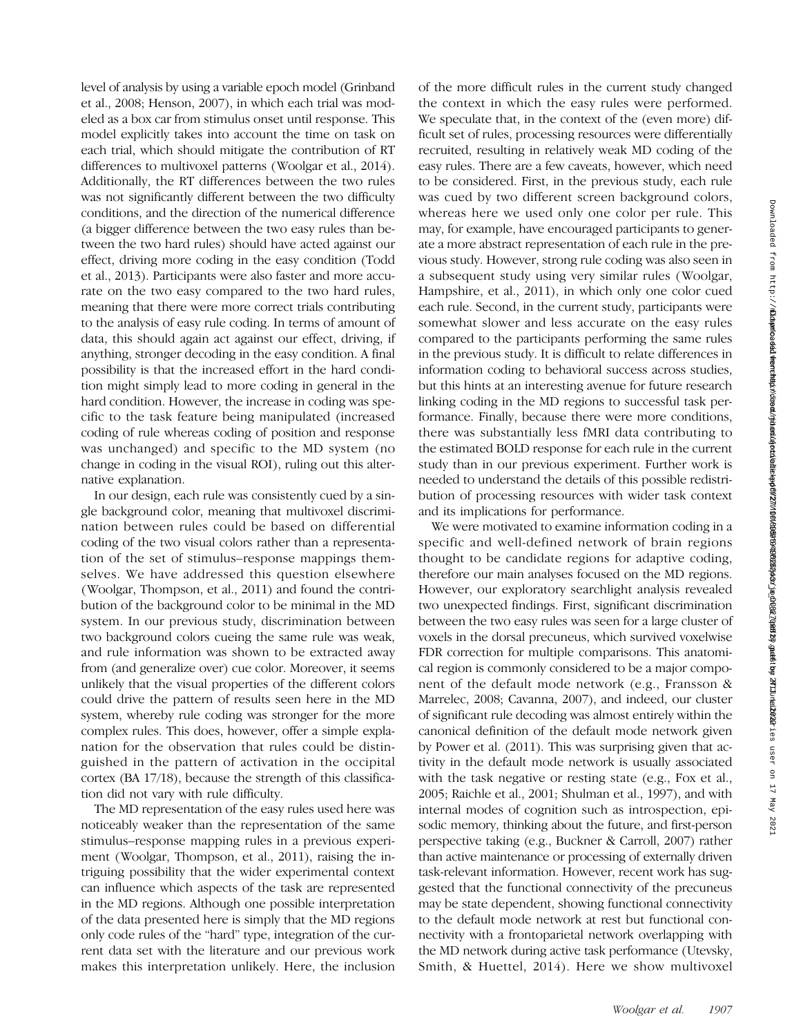level of analysis by using a variable epoch model (Grinband et al., 2008; Henson, 2007), in which each trial was modeled as a box car from stimulus onset until response. This model explicitly takes into account the time on task on each trial, which should mitigate the contribution of RT differences to multivoxel patterns (Woolgar et al., 2014). Additionally, the RT differences between the two rules was not significantly different between the two difficulty conditions, and the direction of the numerical difference (a bigger difference between the two easy rules than between the two hard rules) should have acted against our effect, driving more coding in the easy condition (Todd et al., 2013). Participants were also faster and more accurate on the two easy compared to the two hard rules, meaning that there were more correct trials contributing to the analysis of easy rule coding. In terms of amount of data, this should again act against our effect, driving, if anything, stronger decoding in the easy condition. A final possibility is that the increased effort in the hard condition might simply lead to more coding in general in the hard condition. However, the increase in coding was specific to the task feature being manipulated (increased coding of rule whereas coding of position and response was unchanged) and specific to the MD system (no change in coding in the visual ROI), ruling out this alternative explanation.

In our design, each rule was consistently cued by a single background color, meaning that multivoxel discrimination between rules could be based on differential coding of the two visual colors rather than a representation of the set of stimulus–response mappings themselves. We have addressed this question elsewhere (Woolgar, Thompson, et al., 2011) and found the contribution of the background color to be minimal in the MD system. In our previous study, discrimination between two background colors cueing the same rule was weak, and rule information was shown to be extracted away from (and generalize over) cue color. Moreover, it seems unlikely that the visual properties of the different colors could drive the pattern of results seen here in the MD system, whereby rule coding was stronger for the more complex rules. This does, however, offer a simple explanation for the observation that rules could be distinguished in the pattern of activation in the occipital cortex (BA 17/18), because the strength of this classification did not vary with rule difficulty.

The MD representation of the easy rules used here was noticeably weaker than the representation of the same stimulus–response mapping rules in a previous experiment (Woolgar, Thompson, et al., 2011), raising the intriguing possibility that the wider experimental context can influence which aspects of the task are represented in the MD regions. Although one possible interpretation of the data presented here is simply that the MD regions only code rules of the "hard" type, integration of the current data set with the literature and our previous work makes this interpretation unlikely. Here, the inclusion

of the more difficult rules in the current study changed the context in which the easy rules were performed. We speculate that, in the context of the (even more) difficult set of rules, processing resources were differentially recruited, resulting in relatively weak MD coding of the easy rules. There are a few caveats, however, which need to be considered. First, in the previous study, each rule was cued by two different screen background colors, whereas here we used only one color per rule. This may, for example, have encouraged participants to generate a more abstract representation of each rule in the previous study. However, strong rule coding was also seen in a subsequent study using very similar rules (Woolgar, Hampshire, et al., 2011), in which only one color cued each rule. Second, in the current study, participants were somewhat slower and less accurate on the easy rules compared to the participants performing the same rules in the previous study. It is difficult to relate differences in information coding to behavioral success across studies, but this hints at an interesting avenue for future research linking coding in the MD regions to successful task performance. Finally, because there were more conditions, there was substantially less fMRI data contributing to the estimated BOLD response for each rule in the current study than in our previous experiment. Further work is needed to understand the details of this possible redistribution of processing resources with wider task context and its implications for performance.

We were motivated to examine information coding in a specific and well-defined network of brain regions thought to be candidate regions for adaptive coding, therefore our main analyses focused on the MD regions. However, our exploratory searchlight analysis revealed two unexpected findings. First, significant discrimination between the two easy rules was seen for a large cluster of voxels in the dorsal precuneus, which survived voxelwise FDR correction for multiple comparisons. This anatomical region is commonly considered to be a major component of the default mode network (e.g., Fransson & Marrelec, 2008; Cavanna, 2007), and indeed, our cluster of significant rule decoding was almost entirely within the canonical definition of the default mode network given by Power et al. (2011). This was surprising given that activity in the default mode network is usually associated with the task negative or resting state (e.g., Fox et al., 2005; Raichle et al., 2001; Shulman et al., 1997), and with internal modes of cognition such as introspection, episodic memory, thinking about the future, and first-person perspective taking (e.g., Buckner & Carroll, 2007) rather than active maintenance or processing of externally driven task-relevant information. However, recent work has suggested that the functional connectivity of the precuneus may be state dependent, showing functional connectivity to the default mode network at rest but functional connectivity with a frontoparietal network overlapping with the MD network during active task performance (Utevsky, Smith, & Huettel, 2014). Here we show multivoxel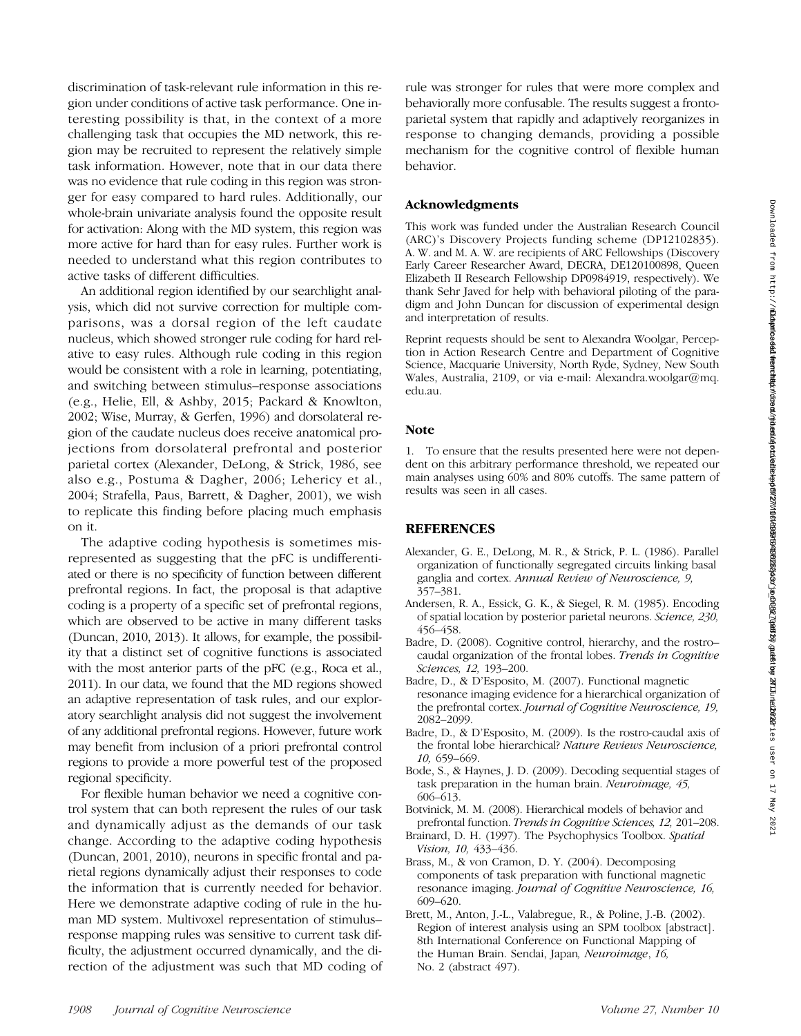discrimination of task-relevant rule information in this region under conditions of active task performance. One interesting possibility is that, in the context of a more challenging task that occupies the MD network, this region may be recruited to represent the relatively simple task information. However, note that in our data there was no evidence that rule coding in this region was stronger for easy compared to hard rules. Additionally, our whole-brain univariate analysis found the opposite result for activation: Along with the MD system, this region was more active for hard than for easy rules. Further work is needed to understand what this region contributes to active tasks of different difficulties.

An additional region identified by our searchlight analysis, which did not survive correction for multiple comparisons, was a dorsal region of the left caudate nucleus, which showed stronger rule coding for hard relative to easy rules. Although rule coding in this region would be consistent with a role in learning, potentiating, and switching between stimulus–response associations (e.g., Helie, Ell, & Ashby, 2015; Packard & Knowlton, 2002; Wise, Murray, & Gerfen, 1996) and dorsolateral region of the caudate nucleus does receive anatomical projections from dorsolateral prefrontal and posterior parietal cortex (Alexander, DeLong, & Strick, 1986, see also e.g., Postuma & Dagher, 2006; Lehericy et al., 2004; Strafella, Paus, Barrett, & Dagher, 2001), we wish to replicate this finding before placing much emphasis on it.

The adaptive coding hypothesis is sometimes misrepresented as suggesting that the pFC is undifferentiated or there is no specificity of function between different prefrontal regions. In fact, the proposal is that adaptive coding is a property of a specific set of prefrontal regions, which are observed to be active in many different tasks (Duncan, 2010, 2013). It allows, for example, the possibility that a distinct set of cognitive functions is associated with the most anterior parts of the pFC (e.g., Roca et al., 2011). In our data, we found that the MD regions showed an adaptive representation of task rules, and our exploratory searchlight analysis did not suggest the involvement of any additional prefrontal regions. However, future work may benefit from inclusion of a priori prefrontal control regions to provide a more powerful test of the proposed regional specificity.

For flexible human behavior we need a cognitive control system that can both represent the rules of our task and dynamically adjust as the demands of our task change. According to the adaptive coding hypothesis (Duncan, 2001, 2010), neurons in specific frontal and parietal regions dynamically adjust their responses to code the information that is currently needed for behavior. Here we demonstrate adaptive coding of rule in the human MD system. Multivoxel representation of stimulus– response mapping rules was sensitive to current task difficulty, the adjustment occurred dynamically, and the direction of the adjustment was such that MD coding of

rule was stronger for rules that were more complex and behaviorally more confusable. The results suggest a frontoparietal system that rapidly and adaptively reorganizes in response to changing demands, providing a possible mechanism for the cognitive control of flexible human behavior.

# Acknowledgments

This work was funded under the Australian Research Council (ARC)'s Discovery Projects funding scheme (DP12102835). A. W. and M. A. W. are recipients of ARC Fellowships (Discovery Early Career Researcher Award, DECRA, DE120100898, Queen Elizabeth II Research Fellowship DP0984919, respectively). We thank Sehr Javed for help with behavioral piloting of the paradigm and John Duncan for discussion of experimental design and interpretation of results.

Reprint requests should be sent to Alexandra Woolgar, Perception in Action Research Centre and Department of Cognitive Science, Macquarie University, North Ryde, Sydney, New South Wales, Australia, 2109, or via e-mail: Alexandra.woolgar@mq. edu.au.

#### Note

1. To ensure that the results presented here were not dependent on this arbitrary performance threshold, we repeated our main analyses using 60% and 80% cutoffs. The same pattern of results was seen in all cases.

# **REFERENCES**

- Alexander, G. E., DeLong, M. R., & Strick, P. L. (1986). Parallel organization of functionally segregated circuits linking basal ganglia and cortex. Annual Review of Neuroscience, 9, 357–381.
- Andersen, R. A., Essick, G. K., & Siegel, R. M. (1985). Encoding of spatial location by posterior parietal neurons. Science, 230, 456–458.
- Badre, D. (2008). Cognitive control, hierarchy, and the rostro– caudal organization of the frontal lobes. Trends in Cognitive Sciences, 12, 193–200.
- Badre, D., & D'Esposito, M. (2007). Functional magnetic resonance imaging evidence for a hierarchical organization of the prefrontal cortex. Journal of Cognitive Neuroscience, 19, 2082–2099.
- Badre, D., & D'Esposito, M. (2009). Is the rostro-caudal axis of the frontal lobe hierarchical? Nature Reviews Neuroscience, 10, 659–669.
- Bode, S., & Haynes, J. D. (2009). Decoding sequential stages of task preparation in the human brain. Neuroimage, 45, 606–613.
- Botvinick, M. M. (2008). Hierarchical models of behavior and prefrontal function. Trends in Cognitive Sciences, 12, 201–208.
- Brainard, D. H. (1997). The Psychophysics Toolbox. Spatial Vision, 10, 433–436.
- Brass, M., & von Cramon, D. Y. (2004). Decomposing components of task preparation with functional magnetic resonance imaging. Journal of Cognitive Neuroscience, 16, 609–620.
- Brett, M., Anton, J.-L., Valabregue, R., & Poline, J.-B. (2002). Region of interest analysis using an SPM toolbox [abstract]. 8th International Conference on Functional Mapping of the Human Brain. Sendai, Japan, Neuroimage, 16, No. 2 (abstract 497).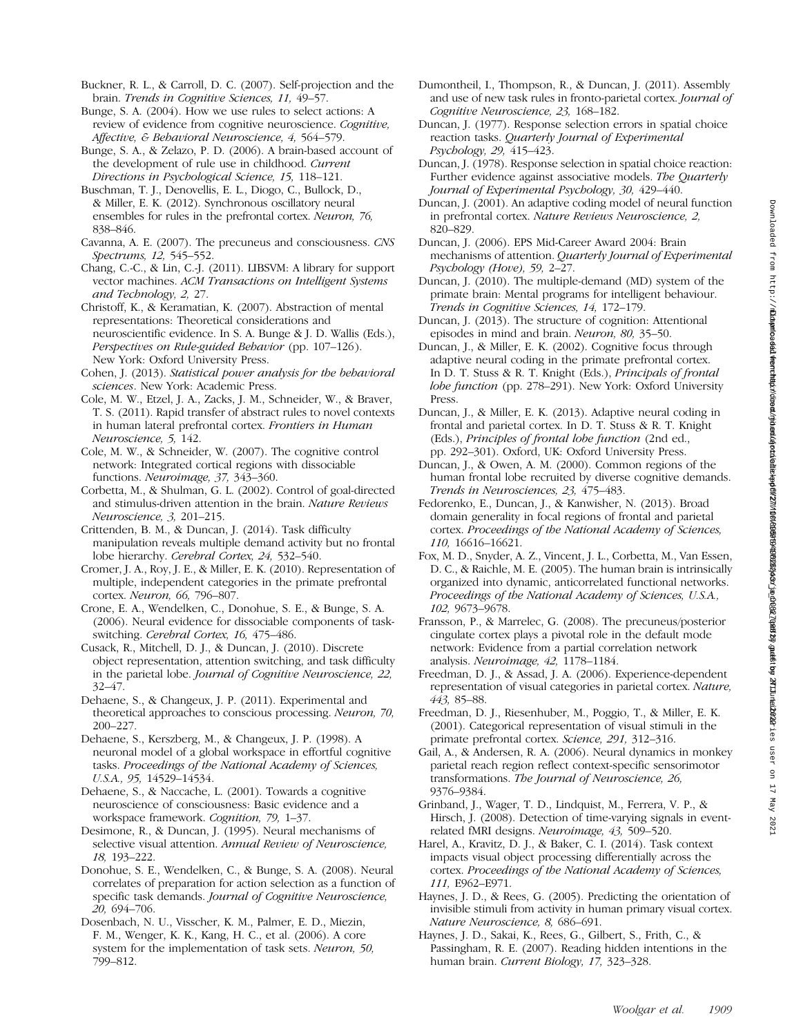Buckner, R. L., & Carroll, D. C. (2007). Self-projection and the brain. Trends in Cognitive Sciences, 11, 49–57.

Bunge, S. A. (2004). How we use rules to select actions: A review of evidence from cognitive neuroscience. Cognitive, Affective, & Behavioral Neuroscience, 4, 564–579.

Bunge, S. A., & Zelazo, P. D. (2006). A brain-based account of the development of rule use in childhood. *Current* Directions in Psychological Science, 15, 118–121.

Buschman, T. J., Denovellis, E. L., Diogo, C., Bullock, D., & Miller, E. K. (2012). Synchronous oscillatory neural ensembles for rules in the prefrontal cortex. Neuron, 76, 838–846.

- Cavanna, A. E. (2007). The precuneus and consciousness. CNS Spectrums, 12, 545–552.
- Chang, C.-C., & Lin, C.-J. (2011). LIBSVM: A library for support vector machines. ACM Transactions on Intelligent Systems and Technology, 2, 27.

Christoff, K., & Keramatian, K. (2007). Abstraction of mental representations: Theoretical considerations and neuroscientific evidence. In S. A. Bunge & J. D. Wallis (Eds.), Perspectives on Rule-guided Behavior (pp. 107–126). New York: Oxford University Press.

Cohen, J. (2013). Statistical power analysis for the behavioral sciences. New York: Academic Press.

Cole, M. W., Etzel, J. A., Zacks, J. M., Schneider, W., & Braver, T. S. (2011). Rapid transfer of abstract rules to novel contexts in human lateral prefrontal cortex. Frontiers in Human Neuroscience, 5, 142.

Cole, M. W., & Schneider, W. (2007). The cognitive control network: Integrated cortical regions with dissociable functions. Neuroimage, 37, 343–360.

Corbetta, M., & Shulman, G. L. (2002). Control of goal-directed and stimulus-driven attention in the brain. Nature Reviews Neuroscience, 3, 201–215.

Crittenden, B. M., & Duncan, J. (2014). Task difficulty manipulation reveals multiple demand activity but no frontal lobe hierarchy. Cerebral Cortex, 24, 532–540.

Cromer, J. A., Roy, J. E., & Miller, E. K. (2010). Representation of multiple, independent categories in the primate prefrontal cortex. Neuron, 66, 796–807.

Crone, E. A., Wendelken, C., Donohue, S. E., & Bunge, S. A. (2006). Neural evidence for dissociable components of taskswitching. Cerebral Cortex, 16, 475–486.

Cusack, R., Mitchell, D. J., & Duncan, J. (2010). Discrete object representation, attention switching, and task difficulty in the parietal lobe. Journal of Cognitive Neuroscience, 22, 32–47.

Dehaene, S., & Changeux, J. P. (2011). Experimental and theoretical approaches to conscious processing. Neuron, 70, 200–227.

Dehaene, S., Kerszberg, M., & Changeux, J. P. (1998). A neuronal model of a global workspace in effortful cognitive tasks. Proceedings of the National Academy of Sciences, U.S.A., 95, 14529–14534.

Dehaene, S., & Naccache, L. (2001). Towards a cognitive neuroscience of consciousness: Basic evidence and a workspace framework. Cognition, 79, 1–37.

Desimone, R., & Duncan, J. (1995). Neural mechanisms of selective visual attention. Annual Review of Neuroscience, 18, 193–222.

Donohue, S. E., Wendelken, C., & Bunge, S. A. (2008). Neural correlates of preparation for action selection as a function of specific task demands. Journal of Cognitive Neuroscience, 20, 694–706.

Dosenbach, N. U., Visscher, K. M., Palmer, E. D., Miezin, F. M., Wenger, K. K., Kang, H. C., et al. (2006). A core system for the implementation of task sets. Neuron, 50, 799–812.

- Dumontheil, I., Thompson, R., & Duncan, J. (2011). Assembly and use of new task rules in fronto-parietal cortex. Journal of Cognitive Neuroscience, 23, 168–182.
- Duncan, J. (1977). Response selection errors in spatial choice reaction tasks. Quarterly Journal of Experimental Psychology, 29, 415–423.
- Duncan, J. (1978). Response selection in spatial choice reaction: Further evidence against associative models. The Quarterly Journal of Experimental Psychology, 30, 429–440.
- Duncan, J. (2001). An adaptive coding model of neural function in prefrontal cortex. Nature Reviews Neuroscience, 2, 820–829.
- Duncan, J. (2006). EPS Mid-Career Award 2004: Brain mechanisms of attention. Quarterly Journal of Experimental Psychology (Hove), 59, 2–27.
- Duncan, J. (2010). The multiple-demand (MD) system of the primate brain: Mental programs for intelligent behaviour. Trends in Cognitive Sciences, 14, 172–179.
- Duncan, J. (2013). The structure of cognition: Attentional episodes in mind and brain. Neuron, 80, 35–50.
- Duncan, J., & Miller, E. K. (2002). Cognitive focus through adaptive neural coding in the primate prefrontal cortex. In D. T. Stuss & R. T. Knight (Eds.), Principals of frontal lobe function (pp. 278–291). New York: Oxford University Press.
- Duncan, J., & Miller, E. K. (2013). Adaptive neural coding in frontal and parietal cortex. In D. T. Stuss & R. T. Knight (Eds.), Principles of frontal lobe function (2nd ed., pp. 292–301). Oxford, UK: Oxford University Press.
- Duncan, J., & Owen, A. M. (2000). Common regions of the human frontal lobe recruited by diverse cognitive demands. Trends in Neurosciences, 23, 475–483.
- Fedorenko, E., Duncan, J., & Kanwisher, N. (2013). Broad domain generality in focal regions of frontal and parietal cortex. Proceedings of the National Academy of Sciences, 110, 16616–16621.
- Fox, M. D., Snyder, A. Z., Vincent, J. L., Corbetta, M., Van Essen, D. C., & Raichle, M. E. (2005). The human brain is intrinsically organized into dynamic, anticorrelated functional networks. Proceedings of the National Academy of Sciences, U.S.A., 102, 9673–9678.
- Fransson, P., & Marrelec, G. (2008). The precuneus/posterior cingulate cortex plays a pivotal role in the default mode network: Evidence from a partial correlation network analysis. Neuroimage, 42, 1178–1184.
- Freedman, D. J., & Assad, J. A. (2006). Experience-dependent representation of visual categories in parietal cortex. Nature, 443, 85–88.
- Freedman, D. J., Riesenhuber, M., Poggio, T., & Miller, E. K. (2001). Categorical representation of visual stimuli in the primate prefrontal cortex. Science, 291, 312–316.
- Gail, A., & Andersen, R. A. (2006). Neural dynamics in monkey parietal reach region reflect context-specific sensorimotor transformations. The Journal of Neuroscience, 26, 9376–9384.
- Grinband, J., Wager, T. D., Lindquist, M., Ferrera, V. P., & Hirsch, J. (2008). Detection of time-varying signals in eventrelated fMRI designs. Neuroimage, 43, 509–520.
- Harel, A., Kravitz, D. J., & Baker, C. I. (2014). Task context impacts visual object processing differentially across the cortex. Proceedings of the National Academy of Sciences, 111, E962–E971.
- Haynes, J. D., & Rees, G. (2005). Predicting the orientation of invisible stimuli from activity in human primary visual cortex. Nature Neuroscience, 8, 686–691.
- Haynes, J. D., Sakai, K., Rees, G., Gilbert, S., Frith, C., & Passingham, R. E. (2007). Reading hidden intentions in the human brain. Current Biology, 17, 323–328.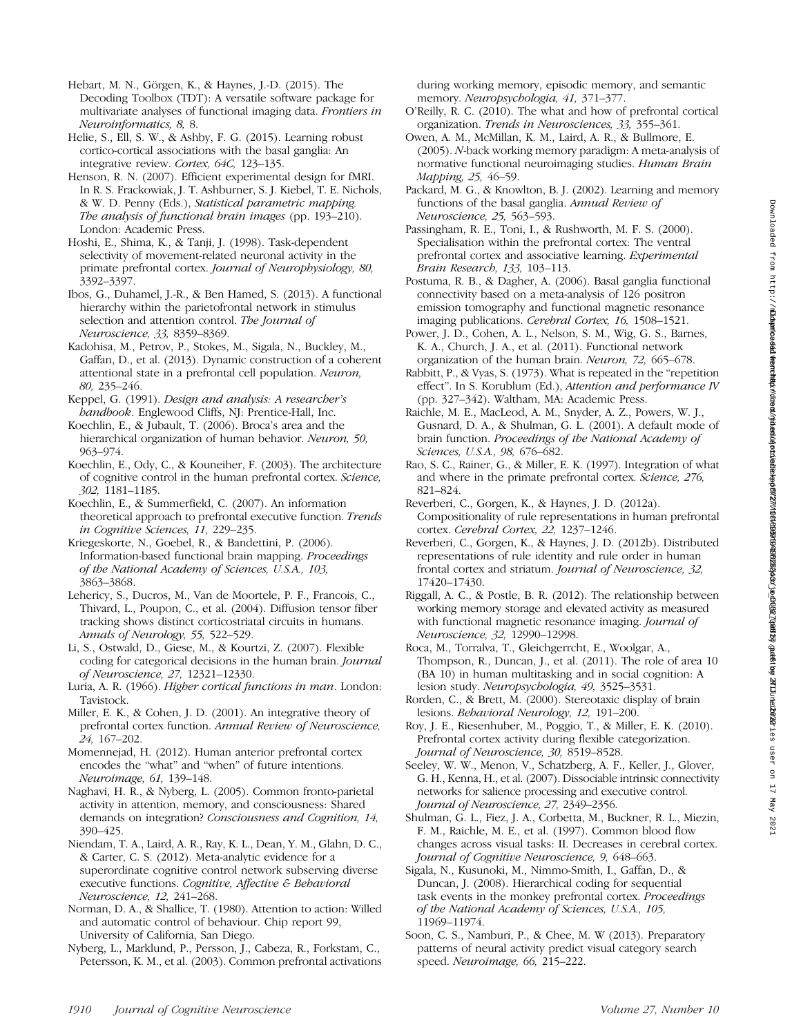Hebart, M. N., Görgen, K., & Haynes, J.-D. (2015). The

Decoding Toolbox (TDT): A versatile software package for multivariate analyses of functional imaging data. Frontiers in Neuroinformatics, 8, 8.

Helie, S., Ell, S. W., & Ashby, F. G. (2015). Learning robust cortico-cortical associations with the basal ganglia: An integrative review. Cortex, 64C, 123–135.

Henson, R. N. (2007). Efficient experimental design for fMRI. In R. S. Frackowiak, J. T. Ashburner, S. J. Kiebel, T. E. Nichols, & W. D. Penny (Eds.), Statistical parametric mapping. The analysis of functional brain images (pp. 193–210). London: Academic Press.

Hoshi, E., Shima, K., & Tanji, J. (1998). Task-dependent selectivity of movement-related neuronal activity in the primate prefrontal cortex. Journal of Neurophysiology, 80, 3392–3397.

Ibos, G., Duhamel, J.-R., & Ben Hamed, S. (2013). A functional hierarchy within the parietofrontal network in stimulus selection and attention control. The Journal of Neuroscience, 33, 8359–8369.

Kadohisa, M., Petrov, P., Stokes, M., Sigala, N., Buckley, M., Gaffan, D., et al. (2013). Dynamic construction of a coherent attentional state in a prefrontal cell population. Neuron, 80, 235–246.

Keppel, G. (1991). Design and analysis: A researcher's handbook. Englewood Cliffs, NJ: Prentice-Hall, Inc.

Koechlin, E., & Jubault, T. (2006). Broca's area and the hierarchical organization of human behavior. Neuron, 50, 963–974.

Koechlin, E., Ody, C., & Kouneiher, F. (2003). The architecture of cognitive control in the human prefrontal cortex. Science, 302, 1181–1185.

Koechlin, E., & Summerfield, C. (2007). An information theoretical approach to prefrontal executive function. Trends in Cognitive Sciences, 11, 229–235.

Kriegeskorte, N., Goebel, R., & Bandettini, P. (2006). Information-based functional brain mapping. Proceedings of the National Academy of Sciences, U.S.A., 103, 3863–3868.

Lehericy, S., Ducros, M., Van de Moortele, P. F., Francois, C., Thivard, L., Poupon, C., et al. (2004). Diffusion tensor fiber tracking shows distinct corticostriatal circuits in humans. Annals of Neurology, 55, 522–529.

Li, S., Ostwald, D., Giese, M., & Kourtzi, Z. (2007). Flexible coding for categorical decisions in the human brain. Journal of Neuroscience, 27, 12321–12330.

Luria, A. R. (1966). Higher cortical functions in man. London: Tavistock.

Miller, E. K., & Cohen, J. D. (2001). An integrative theory of prefrontal cortex function. Annual Review of Neuroscience, 24, 167–202.

Momennejad, H. (2012). Human anterior prefrontal cortex encodes the "what" and "when" of future intentions. Neuroimage, 61, 139–148.

Naghavi, H. R., & Nyberg, L. (2005). Common fronto-parietal activity in attention, memory, and consciousness: Shared demands on integration? Consciousness and Cognition, 14, 390–425.

Niendam, T. A., Laird, A. R., Ray, K. L., Dean, Y. M., Glahn, D. C., & Carter, C. S. (2012). Meta-analytic evidence for a superordinate cognitive control network subserving diverse executive functions. Cognitive, Affective & Behavioral Neuroscience, 12, 241–268.

Norman, D. A., & Shallice, T. (1980). Attention to action: Willed and automatic control of behaviour. Chip report 99, University of California, San Diego.

Nyberg, L., Marklund, P., Persson, J., Cabeza, R., Forkstam, C., Petersson, K. M., et al. (2003). Common prefrontal activations during working memory, episodic memory, and semantic memory. Neuropsychologia, 41, 371–377.

- O'Reilly, R. C. (2010). The what and how of prefrontal cortical organization. Trends in Neurosciences, 33, 355–361.
- Owen, A. M., McMillan, K. M., Laird, A. R., & Bullmore, E. (2005). N-back working memory paradigm: A meta-analysis of normative functional neuroimaging studies. Human Brain Mapping, 25, 46–59.
- Packard, M. G., & Knowlton, B. J. (2002). Learning and memory functions of the basal ganglia. Annual Review of Neuroscience, 25, 563–593.

Passingham, R. E., Toni, I., & Rushworth, M. F. S. (2000). Specialisation within the prefrontal cortex: The ventral prefrontal cortex and associative learning. Experimental Brain Research, 133, 103–113.

Postuma, R. B., & Dagher, A. (2006). Basal ganglia functional connectivity based on a meta-analysis of 126 positron emission tomography and functional magnetic resonance imaging publications. Cerebral Cortex, 16, 1508–1521.

Power, J. D., Cohen, A. L., Nelson, S. M., Wig, G. S., Barnes, K. A., Church, J. A., et al. (2011). Functional network organization of the human brain. Neuron, 72, 665–678.

Rabbitt, P., & Vyas, S. (1973). What is repeated in the "repetition effect". In S. Korublum (Ed.), Attention and performance IV (pp. 327–342). Waltham, MA: Academic Press.

Raichle, M. E., MacLeod, A. M., Snyder, A. Z., Powers, W. J., Gusnard, D. A., & Shulman, G. L. (2001). A default mode of brain function. Proceedings of the National Academy of Sciences, U.S.A., 98, 676–682.

Rao, S. C., Rainer, G., & Miller, E. K. (1997). Integration of what and where in the primate prefrontal cortex. Science, 276, 821–824.

Reverberi, C., Gorgen, K., & Haynes, J. D. (2012a). Compositionality of rule representations in human prefrontal cortex. Cerebral Cortex, 22, 1237–1246.

Reverberi, C., Gorgen, K., & Haynes, J. D. (2012b). Distributed representations of rule identity and rule order in human frontal cortex and striatum. Journal of Neuroscience, 32, 17420–17430.

Riggall, A. C., & Postle, B. R. (2012). The relationship between working memory storage and elevated activity as measured with functional magnetic resonance imaging. *Journal of* Neuroscience, 32, 12990–12998.

Roca, M., Torralva, T., Gleichgerrcht, E., Woolgar, A., Thompson, R., Duncan, J., et al. (2011). The role of area 10  $(BA 10)$  in human multitasking and in social cognition: A lesion study. Neuropsychologia, 49, 3525–3531.

Rorden, C., & Brett, M. (2000). Stereotaxic display of brain lesions. Behavioral Neurology, 12, 191–200.

Roy, J. E., Riesenhuber, M., Poggio, T., & Miller, E. K. (2010). Prefrontal cortex activity during flexible categorization. Journal of Neuroscience, 30, 8519–8528.

Seeley, W. W., Menon, V., Schatzberg, A. F., Keller, J., Glover, G. H., Kenna, H., et al. (2007). Dissociable intrinsic connectivity networks for salience processing and executive control. Journal of Neuroscience, 27, 2349–2356.

Shulman, G. L., Fiez, J. A., Corbetta, M., Buckner, R. L., Miezin, F. M., Raichle, M. E., et al. (1997). Common blood flow changes across visual tasks: II. Decreases in cerebral cortex. Journal of Cognitive Neuroscience, 9, 648–663.

Sigala, N., Kusunoki, M., Nimmo-Smith, I., Gaffan, D., & Duncan, J. (2008). Hierarchical coding for sequential task events in the monkey prefrontal cortex. Proceedings of the National Academy of Sciences, U.S.A., 105, 11969–11974.

Soon, C. S., Namburi, P., & Chee, M. W (2013). Preparatory patterns of neural activity predict visual category search speed. Neuroimage, 66, 215–222.